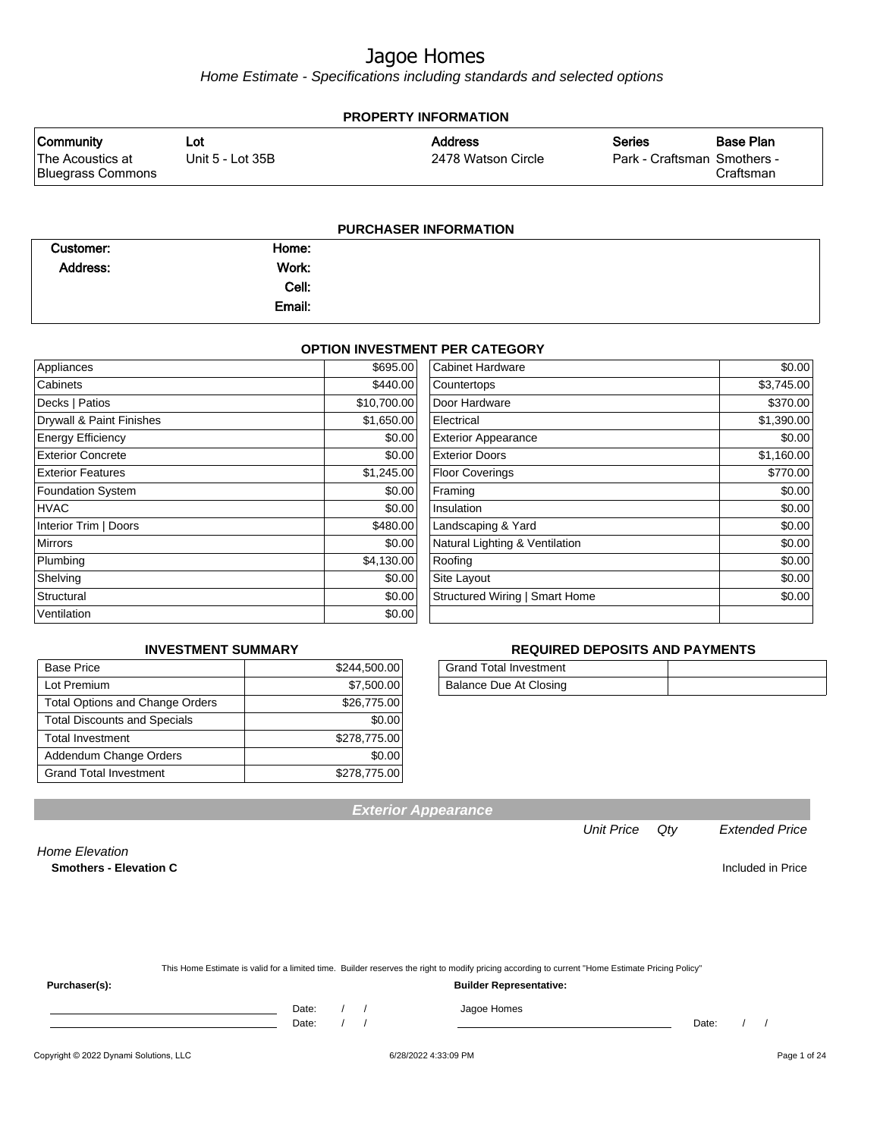Home Estimate - Specifications including standards and selected options

| <b>PROPERTY INFORMATION</b>           |                  |                    |                             |           |  |
|---------------------------------------|------------------|--------------------|-----------------------------|-----------|--|
| <b>Community</b>                      | Lot              | <b>Address</b>     | <b>Series</b>               | Base Plan |  |
| The Acoustics at<br>Bluegrass Commons | Unit 5 - Lot 35B | 2478 Watson Circle | Park - Craftsman Smothers - | Craftsman |  |
|                                       |                  |                    |                             |           |  |

#### **PURCHASER INFORMATION**

| Customer: | Home:  |  |
|-----------|--------|--|
| Address:  | Work:  |  |
|           | Cell:  |  |
|           | Email: |  |

#### **OPTION INVESTMENT PER CATEGORY**

| Appliances               | \$695.00    | <b>Cabinet Hardware</b>               | \$0.00     |
|--------------------------|-------------|---------------------------------------|------------|
| Cabinets                 | \$440.00    | Countertops                           | \$3,745.00 |
| Decks   Patios           | \$10,700.00 | Door Hardware                         | \$370.00   |
| Drywall & Paint Finishes | \$1,650.00  | Electrical                            | \$1,390.00 |
| <b>Energy Efficiency</b> | \$0.00      | <b>Exterior Appearance</b>            | \$0.00     |
| <b>Exterior Concrete</b> | \$0.00      | <b>Exterior Doors</b>                 | \$1,160.00 |
| <b>Exterior Features</b> | \$1,245.00  | <b>Floor Coverings</b>                | \$770.00   |
| <b>Foundation System</b> | \$0.00      | Framing                               | \$0.00     |
| <b>HVAC</b>              | \$0.00      | Insulation                            | \$0.00     |
| Interior Trim   Doors    | \$480.00    | Landscaping & Yard                    | \$0.00     |
| <b>Mirrors</b>           | \$0.00      | Natural Lighting & Ventilation        | \$0.00     |
| Plumbing                 | \$4,130.00  | Roofing                               | \$0.00     |
| Shelving                 | \$0.00      | Site Layout                           | \$0.00     |
| Structural               | \$0.00      | <b>Structured Wiring   Smart Home</b> | \$0.00     |
| Ventilation              | \$0.00      |                                       |            |
|                          |             |                                       |            |

#### **INVESTMENT SUMMARY**

| <b>Base Price</b>                      | \$244,500.00 |
|----------------------------------------|--------------|
| Lot Premium                            | \$7,500.00   |
| <b>Total Options and Change Orders</b> | \$26,775.00  |
| <b>Total Discounts and Specials</b>    | \$0.00       |
| <b>Total Investment</b>                | \$278,775.00 |
| Addendum Change Orders                 | \$0.00       |
| <b>Grand Total Investment</b>          | \$278,775.00 |

#### **REQUIRED DEPOSITS AND PAYMENTS**

| <b>Grand Total Investment</b> |  |
|-------------------------------|--|
| Balance Due At Closing        |  |

**Exterior Appearance**

#### Unit Price Qty Extended Price

Home Elevation **Smothers - Elevation C** Included in Price

| This Home Estimate is valid for a limited time. Builder reserves the right to modify pricing according to current "Home Estimate Pricing Policy" |  |
|--------------------------------------------------------------------------------------------------------------------------------------------------|--|

**Purchaser(s): Builder Representative:**

Date: / / Jagoe Homes

Date: / / Date: / /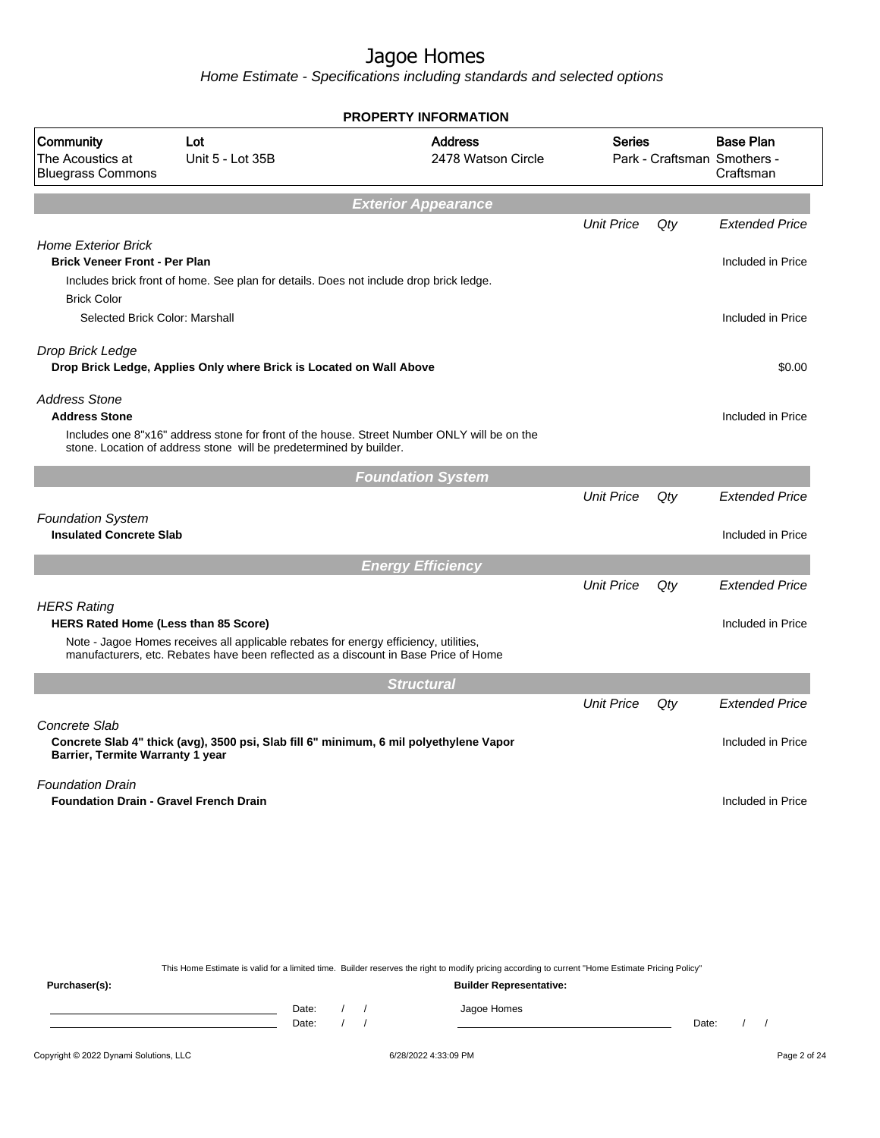|                                                                          |                                                                                                                                                                             |                                        | <b>PROPERTY INFORMATION</b>          |                   |       |                                                              |
|--------------------------------------------------------------------------|-----------------------------------------------------------------------------------------------------------------------------------------------------------------------------|----------------------------------------|--------------------------------------|-------------------|-------|--------------------------------------------------------------|
| Community<br>The Acoustics at<br><b>Bluegrass Commons</b>                | Lot<br>Unit 5 - Lot 35B                                                                                                                                                     |                                        | <b>Address</b><br>2478 Watson Circle | <b>Series</b>     |       | <b>Base Plan</b><br>Park - Craftsman Smothers -<br>Craftsman |
|                                                                          |                                                                                                                                                                             | <b>Exterior Appearance</b>             |                                      |                   |       |                                                              |
| <b>Home Exterior Brick</b>                                               |                                                                                                                                                                             |                                        |                                      | <b>Unit Price</b> | Qty   | <b>Extended Price</b>                                        |
| <b>Brick Veneer Front - Per Plan</b><br><b>Brick Color</b>               | Includes brick front of home. See plan for details. Does not include drop brick ledge.                                                                                      |                                        |                                      |                   |       | Included in Price                                            |
| Selected Brick Color: Marshall                                           |                                                                                                                                                                             |                                        |                                      |                   |       | Included in Price                                            |
| Drop Brick Ledge                                                         | Drop Brick Ledge, Applies Only where Brick is Located on Wall Above                                                                                                         |                                        |                                      |                   |       | \$0.00                                                       |
| <b>Address Stone</b><br><b>Address Stone</b>                             | Includes one 8"x16" address stone for front of the house. Street Number ONLY will be on the<br>stone. Location of address stone will be predetermined by builder.           |                                        |                                      |                   |       | Included in Price                                            |
|                                                                          |                                                                                                                                                                             | <b>Foundation System</b>               |                                      |                   |       |                                                              |
|                                                                          |                                                                                                                                                                             |                                        |                                      | <b>Unit Price</b> | Qty   | <b>Extended Price</b>                                        |
| <b>Foundation System</b><br><b>Insulated Concrete Slab</b>               |                                                                                                                                                                             |                                        |                                      |                   |       | Included in Price                                            |
|                                                                          |                                                                                                                                                                             | <b>Energy Efficiency</b>               |                                      |                   |       |                                                              |
| <b>HERS Rating</b>                                                       |                                                                                                                                                                             |                                        |                                      | <b>Unit Price</b> | Qty   | <b>Extended Price</b>                                        |
| <b>HERS Rated Home (Less than 85 Score)</b>                              |                                                                                                                                                                             |                                        |                                      |                   |       | Included in Price                                            |
|                                                                          | Note - Jagoe Homes receives all applicable rebates for energy efficiency, utilities,<br>manufacturers, etc. Rebates have been reflected as a discount in Base Price of Home |                                        |                                      |                   |       |                                                              |
|                                                                          |                                                                                                                                                                             | <b>Structural</b>                      |                                      |                   |       |                                                              |
|                                                                          |                                                                                                                                                                             |                                        |                                      | <b>Unit Price</b> | Qty   | <b>Extended Price</b>                                        |
| Concrete Slab<br>Barrier, Termite Warranty 1 year                        | Concrete Slab 4" thick (avg), 3500 psi, Slab fill 6" minimum, 6 mil polyethylene Vapor                                                                                      |                                        |                                      |                   |       | Included in Price                                            |
| <b>Foundation Drain</b><br><b>Foundation Drain - Gravel French Drain</b> |                                                                                                                                                                             |                                        |                                      |                   |       | Included in Price                                            |
|                                                                          |                                                                                                                                                                             |                                        |                                      |                   |       |                                                              |
|                                                                          |                                                                                                                                                                             |                                        |                                      |                   |       |                                                              |
|                                                                          |                                                                                                                                                                             |                                        |                                      |                   |       |                                                              |
| Purchaser(s):                                                            | This Home Estimate is valid for a limited time. Builder reserves the right to modify pricing according to current "Home Estimate Pricing Policy"                            |                                        | <b>Builder Representative:</b>       |                   |       |                                                              |
|                                                                          | Date:<br><u> 1989 - Johann Barn, mars an t-Amerikaansk kommunister (</u><br>Date:                                                                                           | $\sqrt{ }$<br>$\sqrt{ }$<br>$\sqrt{ }$ | Jagoe Homes                          |                   | Date: | $\frac{1}{2}$                                                |
| Copyright © 2022 Dynami Solutions, LLC                                   |                                                                                                                                                                             |                                        | 6/28/2022 4:33:09 PM                 |                   |       | Page 2 of 24                                                 |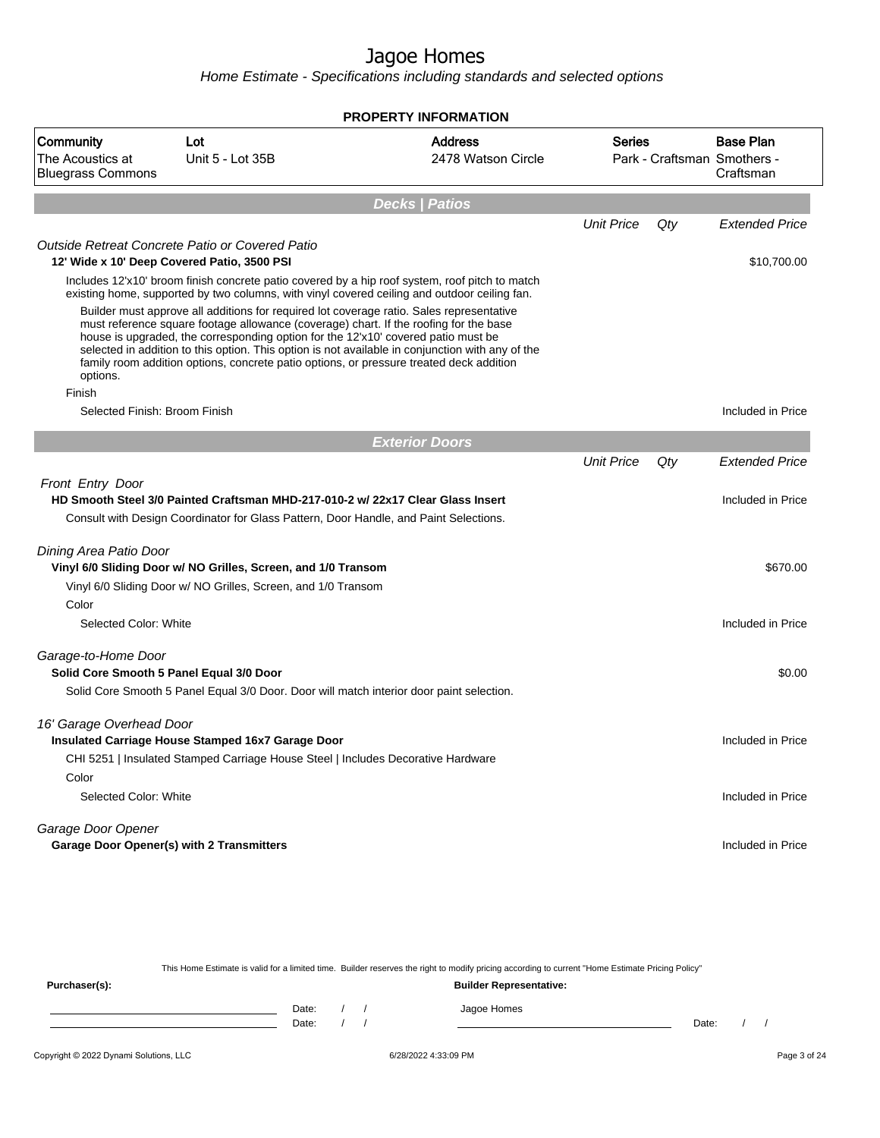Home Estimate - Specifications including standards and selected options

|                                                           |                                                                                                                                                                                                                                                                                                                                                                   | <b>PROPERTY INFORMATION</b>                                                                                                                                                                    |                   |     |                                                              |
|-----------------------------------------------------------|-------------------------------------------------------------------------------------------------------------------------------------------------------------------------------------------------------------------------------------------------------------------------------------------------------------------------------------------------------------------|------------------------------------------------------------------------------------------------------------------------------------------------------------------------------------------------|-------------------|-----|--------------------------------------------------------------|
| Community<br>The Acoustics at<br><b>Bluegrass Commons</b> | Lot<br>Unit 5 - Lot 35B                                                                                                                                                                                                                                                                                                                                           | <b>Address</b><br>2478 Watson Circle                                                                                                                                                           | <b>Series</b>     |     | <b>Base Plan</b><br>Park - Craftsman Smothers -<br>Craftsman |
|                                                           |                                                                                                                                                                                                                                                                                                                                                                   | <b>Decks   Patios</b>                                                                                                                                                                          |                   |     |                                                              |
|                                                           |                                                                                                                                                                                                                                                                                                                                                                   |                                                                                                                                                                                                | <b>Unit Price</b> | Qty | <b>Extended Price</b>                                        |
| 12' Wide x 10' Deep Covered Patio, 3500 PSI               | Outside Retreat Concrete Patio or Covered Patio                                                                                                                                                                                                                                                                                                                   |                                                                                                                                                                                                |                   |     | \$10,700.00                                                  |
|                                                           |                                                                                                                                                                                                                                                                                                                                                                   | Includes 12'x10' broom finish concrete patio covered by a hip roof system, roof pitch to match<br>existing home, supported by two columns, with vinyl covered ceiling and outdoor ceiling fan. |                   |     |                                                              |
| options.                                                  | Builder must approve all additions for required lot coverage ratio. Sales representative<br>must reference square footage allowance (coverage) chart. If the roofing for the base<br>house is upgraded, the corresponding option for the 12'x10' covered patio must be<br>family room addition options, concrete patio options, or pressure treated deck addition | selected in addition to this option. This option is not available in conjunction with any of the                                                                                               |                   |     |                                                              |
| Finish                                                    |                                                                                                                                                                                                                                                                                                                                                                   |                                                                                                                                                                                                |                   |     |                                                              |
| Selected Finish: Broom Finish                             |                                                                                                                                                                                                                                                                                                                                                                   |                                                                                                                                                                                                |                   |     | Included in Price                                            |
|                                                           |                                                                                                                                                                                                                                                                                                                                                                   | <b>Exterior Doors</b>                                                                                                                                                                          |                   |     |                                                              |
|                                                           |                                                                                                                                                                                                                                                                                                                                                                   |                                                                                                                                                                                                | <b>Unit Price</b> | Qty | <b>Extended Price</b>                                        |
| Front Entry Door                                          | HD Smooth Steel 3/0 Painted Craftsman MHD-217-010-2 w/ 22x17 Clear Glass Insert                                                                                                                                                                                                                                                                                   |                                                                                                                                                                                                |                   |     | Included in Price                                            |
|                                                           | Consult with Design Coordinator for Glass Pattern, Door Handle, and Paint Selections.                                                                                                                                                                                                                                                                             |                                                                                                                                                                                                |                   |     |                                                              |
| Dining Area Patio Door                                    |                                                                                                                                                                                                                                                                                                                                                                   |                                                                                                                                                                                                |                   |     |                                                              |
|                                                           | Vinyl 6/0 Sliding Door w/ NO Grilles, Screen, and 1/0 Transom                                                                                                                                                                                                                                                                                                     |                                                                                                                                                                                                |                   |     | \$670.00                                                     |
|                                                           | Vinyl 6/0 Sliding Door w/ NO Grilles, Screen, and 1/0 Transom                                                                                                                                                                                                                                                                                                     |                                                                                                                                                                                                |                   |     |                                                              |
| Color                                                     |                                                                                                                                                                                                                                                                                                                                                                   |                                                                                                                                                                                                |                   |     |                                                              |
| Selected Color: White                                     |                                                                                                                                                                                                                                                                                                                                                                   |                                                                                                                                                                                                |                   |     | Included in Price                                            |
| Garage-to-Home Door                                       |                                                                                                                                                                                                                                                                                                                                                                   |                                                                                                                                                                                                |                   |     |                                                              |
| Solid Core Smooth 5 Panel Equal 3/0 Door                  |                                                                                                                                                                                                                                                                                                                                                                   |                                                                                                                                                                                                |                   |     | \$0.00                                                       |
|                                                           | Solid Core Smooth 5 Panel Equal 3/0 Door. Door will match interior door paint selection.                                                                                                                                                                                                                                                                          |                                                                                                                                                                                                |                   |     |                                                              |
| 16' Garage Overhead Door                                  |                                                                                                                                                                                                                                                                                                                                                                   |                                                                                                                                                                                                |                   |     |                                                              |
|                                                           | Insulated Carriage House Stamped 16x7 Garage Door                                                                                                                                                                                                                                                                                                                 |                                                                                                                                                                                                |                   |     | Included in Price                                            |
|                                                           | CHI 5251   Insulated Stamped Carriage House Steel   Includes Decorative Hardware                                                                                                                                                                                                                                                                                  |                                                                                                                                                                                                |                   |     |                                                              |
| Color                                                     |                                                                                                                                                                                                                                                                                                                                                                   |                                                                                                                                                                                                |                   |     |                                                              |
| Selected Color: White                                     |                                                                                                                                                                                                                                                                                                                                                                   |                                                                                                                                                                                                |                   |     | Included in Price                                            |
| Garage Door Opener                                        |                                                                                                                                                                                                                                                                                                                                                                   |                                                                                                                                                                                                |                   |     |                                                              |
| <b>Garage Door Opener(s) with 2 Transmitters</b>          |                                                                                                                                                                                                                                                                                                                                                                   |                                                                                                                                                                                                |                   |     | Included in Price                                            |

This Home Estimate is valid for a limited time. Builder reserves the right to modify pricing according to current "Home Estimate Pricing Policy" **Purchaser(s): Builder Representative:** Date: / / Jagoe Homes<br>Date: / / Jagoe Homes Date: / / Date: / /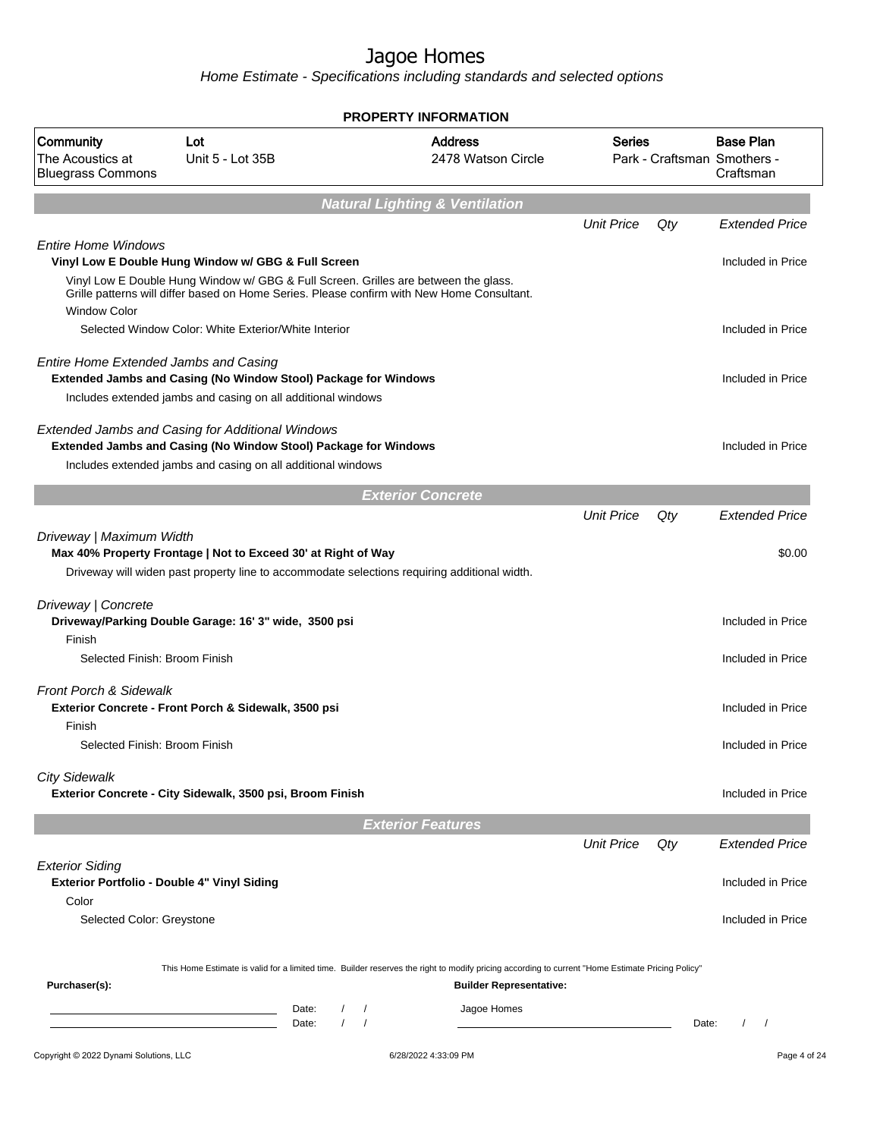|                                                                                |                                                                                                                                                                                   |                        | <b>PROPERTY INFORMATION</b>                                                                                                                      |                   |       |                                                              |
|--------------------------------------------------------------------------------|-----------------------------------------------------------------------------------------------------------------------------------------------------------------------------------|------------------------|--------------------------------------------------------------------------------------------------------------------------------------------------|-------------------|-------|--------------------------------------------------------------|
| Community<br>The Acoustics at<br><b>Bluegrass Commons</b>                      | Lot<br>Unit 5 - Lot 35B                                                                                                                                                           |                        | <b>Address</b><br>2478 Watson Circle                                                                                                             | <b>Series</b>     |       | <b>Base Plan</b><br>Park - Craftsman Smothers -<br>Craftsman |
|                                                                                |                                                                                                                                                                                   |                        | <b>Natural Lighting &amp; Ventilation</b>                                                                                                        |                   |       |                                                              |
|                                                                                |                                                                                                                                                                                   |                        |                                                                                                                                                  | <b>Unit Price</b> | Qty   | <b>Extended Price</b>                                        |
| <b>Entire Home Windows</b>                                                     | Vinyl Low E Double Hung Window w/ GBG & Full Screen                                                                                                                               |                        |                                                                                                                                                  |                   |       | Included in Price                                            |
| <b>Window Color</b>                                                            | Vinyl Low E Double Hung Window w/ GBG & Full Screen. Grilles are between the glass.<br>Grille patterns will differ based on Home Series. Please confirm with New Home Consultant. |                        |                                                                                                                                                  |                   |       |                                                              |
|                                                                                | Selected Window Color: White Exterior/White Interior                                                                                                                              |                        |                                                                                                                                                  |                   |       | Included in Price                                            |
| <b>Entire Home Extended Jambs and Casing</b>                                   | Extended Jambs and Casing (No Window Stool) Package for Windows                                                                                                                   |                        |                                                                                                                                                  |                   |       | Included in Price                                            |
|                                                                                | Includes extended jambs and casing on all additional windows                                                                                                                      |                        |                                                                                                                                                  |                   |       |                                                              |
|                                                                                | <b>Extended Jambs and Casing for Additional Windows</b><br>Extended Jambs and Casing (No Window Stool) Package for Windows                                                        |                        |                                                                                                                                                  |                   |       | Included in Price                                            |
|                                                                                | Includes extended jambs and casing on all additional windows                                                                                                                      |                        |                                                                                                                                                  |                   |       |                                                              |
|                                                                                |                                                                                                                                                                                   |                        | <b>Exterior Concrete</b>                                                                                                                         |                   |       |                                                              |
|                                                                                |                                                                                                                                                                                   |                        |                                                                                                                                                  | <b>Unit Price</b> | Qty   | <b>Extended Price</b>                                        |
| Driveway   Maximum Width                                                       | Max 40% Property Frontage   Not to Exceed 30' at Right of Way<br>Driveway will widen past property line to accommodate selections requiring additional width.                     |                        |                                                                                                                                                  |                   |       | \$0.00                                                       |
| Driveway   Concrete                                                            | Driveway/Parking Double Garage: 16' 3" wide, 3500 psi                                                                                                                             |                        |                                                                                                                                                  |                   |       | Included in Price                                            |
| Finish<br>Selected Finish: Broom Finish                                        |                                                                                                                                                                                   |                        |                                                                                                                                                  |                   |       | Included in Price                                            |
| <b>Front Porch &amp; Sidewalk</b>                                              |                                                                                                                                                                                   |                        |                                                                                                                                                  |                   |       |                                                              |
| Finish                                                                         | Exterior Concrete - Front Porch & Sidewalk, 3500 psi                                                                                                                              |                        |                                                                                                                                                  |                   |       | Included in Price                                            |
| Selected Finish: Broom Finish                                                  |                                                                                                                                                                                   |                        |                                                                                                                                                  |                   |       | Included in Price                                            |
| <b>City Sidewalk</b>                                                           | Exterior Concrete - City Sidewalk, 3500 psi, Broom Finish                                                                                                                         |                        |                                                                                                                                                  |                   |       | Included in Price                                            |
|                                                                                |                                                                                                                                                                                   |                        | <b>Exterior Features</b>                                                                                                                         |                   |       |                                                              |
|                                                                                |                                                                                                                                                                                   |                        |                                                                                                                                                  | <b>Unit Price</b> | Qty   | <b>Extended Price</b>                                        |
| <b>Exterior Siding</b><br>Exterior Portfolio - Double 4" Vinyl Siding<br>Color |                                                                                                                                                                                   |                        |                                                                                                                                                  |                   |       | Included in Price                                            |
| Selected Color: Greystone                                                      |                                                                                                                                                                                   |                        |                                                                                                                                                  |                   |       | Included in Price                                            |
|                                                                                |                                                                                                                                                                                   |                        | This Home Estimate is valid for a limited time. Builder reserves the right to modify pricing according to current "Home Estimate Pricing Policy" |                   |       |                                                              |
| Purchaser(s):                                                                  |                                                                                                                                                                                   |                        | <b>Builder Representative:</b>                                                                                                                   |                   |       |                                                              |
|                                                                                | Date:<br>Date:                                                                                                                                                                    | $\prime$<br>$\sqrt{ }$ | Jagoe Homes                                                                                                                                      |                   | Date: | $\left  \right $                                             |
| Copyright © 2022 Dynami Solutions, LLC                                         |                                                                                                                                                                                   |                        | 6/28/2022 4:33:09 PM                                                                                                                             |                   |       | Page 4 of 24                                                 |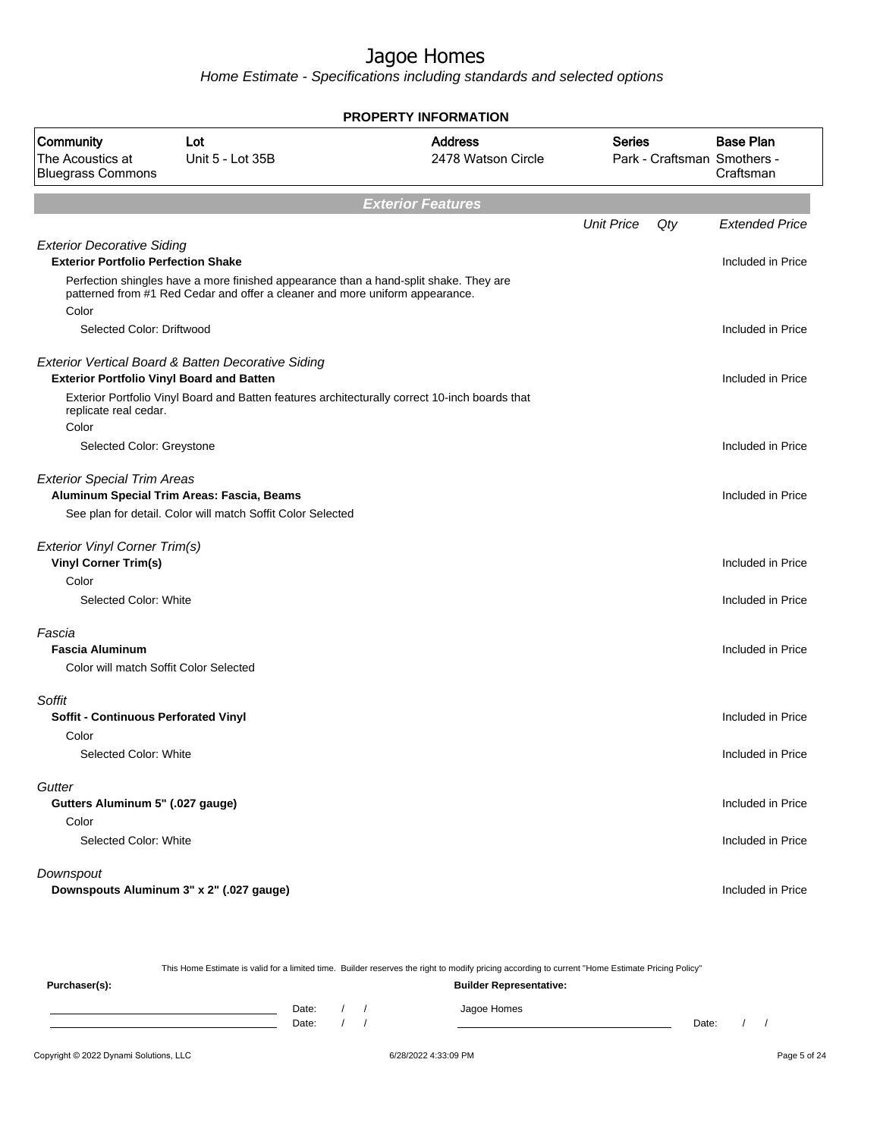Home Estimate - Specifications including standards and selected options

|                                                                                 | PROPERTY INFORMATION                                                                                      |                                                                                                |                   |     |                                                              |  |  |
|---------------------------------------------------------------------------------|-----------------------------------------------------------------------------------------------------------|------------------------------------------------------------------------------------------------|-------------------|-----|--------------------------------------------------------------|--|--|
| <b>Community</b><br>The Acoustics at<br><b>Bluegrass Commons</b>                | Lot<br>Unit 5 - Lot 35B                                                                                   | <b>Address</b><br>2478 Watson Circle                                                           | Series            |     | <b>Base Plan</b><br>Park - Craftsman Smothers -<br>Craftsman |  |  |
|                                                                                 |                                                                                                           | <b>Exterior Features</b>                                                                       |                   |     |                                                              |  |  |
|                                                                                 |                                                                                                           |                                                                                                | <b>Unit Price</b> | Qty | <b>Extended Price</b>                                        |  |  |
| <b>Exterior Decorative Siding</b><br><b>Exterior Portfolio Perfection Shake</b> | Perfection shingles have a more finished appearance than a hand-split shake. They are                     |                                                                                                |                   |     | Included in Price                                            |  |  |
| Color                                                                           | patterned from #1 Red Cedar and offer a cleaner and more uniform appearance.                              |                                                                                                |                   |     |                                                              |  |  |
| Selected Color: Driftwood                                                       |                                                                                                           |                                                                                                |                   |     | Included in Price                                            |  |  |
| <b>Exterior Portfolio Vinyl Board and Batten</b>                                | Exterior Vertical Board & Batten Decorative Siding                                                        |                                                                                                |                   |     | Included in Price                                            |  |  |
| replicate real cedar.<br>Color                                                  |                                                                                                           | Exterior Portfolio Vinyl Board and Batten features architecturally correct 10-inch boards that |                   |     |                                                              |  |  |
| Selected Color: Greystone                                                       |                                                                                                           |                                                                                                |                   |     | Included in Price                                            |  |  |
| <b>Exterior Special Trim Areas</b>                                              | Aluminum Special Trim Areas: Fascia, Beams<br>See plan for detail. Color will match Soffit Color Selected |                                                                                                |                   |     | Included in Price                                            |  |  |
|                                                                                 |                                                                                                           |                                                                                                |                   |     |                                                              |  |  |
| <b>Exterior Vinyl Corner Trim(s)</b><br><b>Vinyl Corner Trim(s)</b>             |                                                                                                           |                                                                                                |                   |     | Included in Price                                            |  |  |
| Color<br>Selected Color: White                                                  |                                                                                                           |                                                                                                |                   |     | Included in Price                                            |  |  |
| Fascia                                                                          |                                                                                                           |                                                                                                |                   |     |                                                              |  |  |
| <b>Fascia Aluminum</b><br>Color will match Soffit Color Selected                |                                                                                                           |                                                                                                |                   |     | Included in Price                                            |  |  |
| Soffit                                                                          |                                                                                                           |                                                                                                |                   |     |                                                              |  |  |
| Soffit - Continuous Perforated Vinyl<br>Color                                   |                                                                                                           |                                                                                                |                   |     | Included in Price                                            |  |  |
| Selected Color: White                                                           |                                                                                                           |                                                                                                |                   |     | Included in Price                                            |  |  |
| Gutter<br>Gutters Aluminum 5" (.027 gauge)                                      |                                                                                                           |                                                                                                |                   |     | Included in Price                                            |  |  |
| Color<br>Selected Color: White                                                  |                                                                                                           |                                                                                                |                   |     | Included in Price                                            |  |  |
| Downspout<br>Downspouts Aluminum 3" x 2" (.027 gauge)                           |                                                                                                           |                                                                                                |                   |     | Included in Price                                            |  |  |

This Home Estimate is valid for a limited time. Builder reserves the right to modify pricing according to current "Home Estimate Pricing Policy"

**Purchaser(s): Builder Representative:** Date: / / Jagoe Homes<br>Date: / / Jagoe Homes Date: / / **Date: / / 2006** Date: / / / Date: / / / Date: / / / 2006 Date: / / / 2006 Date: / / / 2006 Date: / / / 2006 Date: / / / 2007 Date: / / / 2007 Date: / / / 2007 Date: / / / 2007 Date: / / / 2007 Date: / / / 2007 D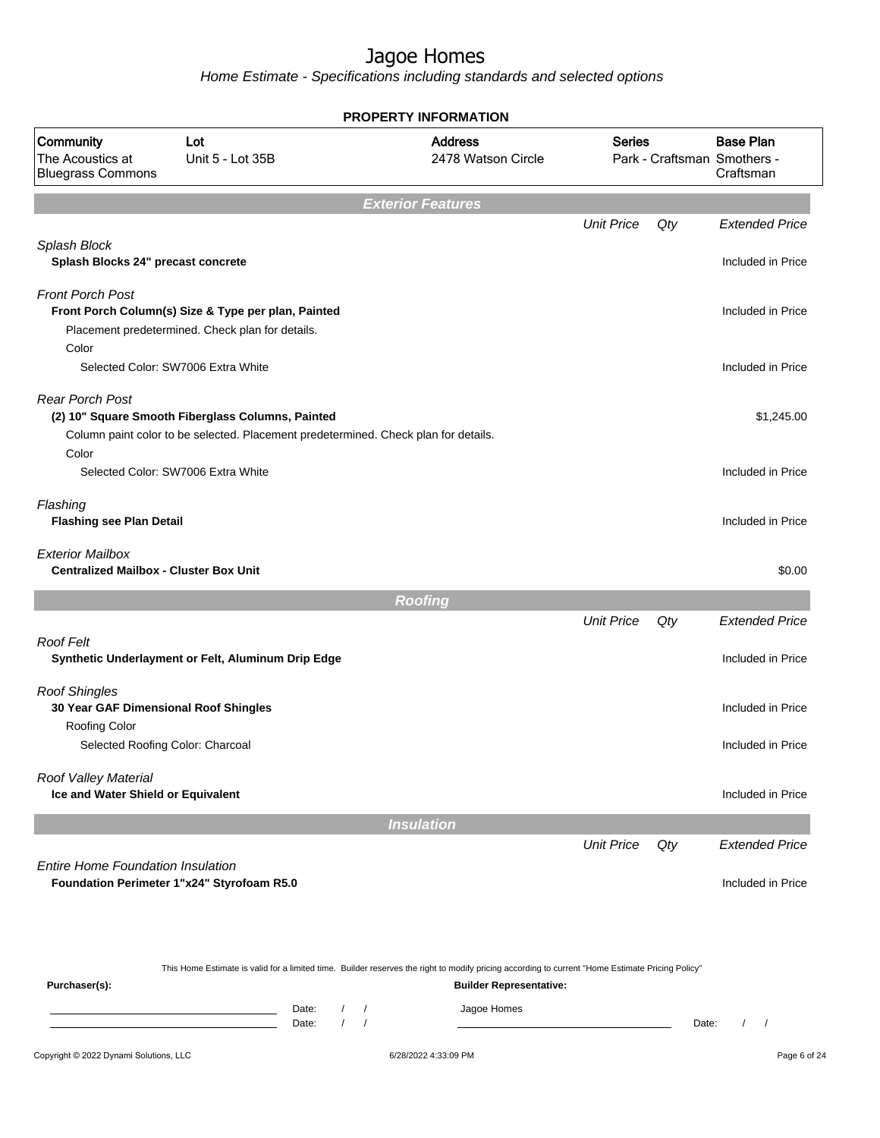Home Estimate - Specifications including standards and selected options

|                                                                          |                                                                                                                                          | <b>PROPERTY INFORMATION</b>                                                                                                                                                        |                   |     |                                                              |
|--------------------------------------------------------------------------|------------------------------------------------------------------------------------------------------------------------------------------|------------------------------------------------------------------------------------------------------------------------------------------------------------------------------------|-------------------|-----|--------------------------------------------------------------|
| Community<br>The Acoustics at<br><b>Bluegrass Commons</b>                | Lot<br>Unit 5 - Lot 35B                                                                                                                  | <b>Address</b><br>2478 Watson Circle                                                                                                                                               | <b>Series</b>     |     | <b>Base Plan</b><br>Park - Craftsman Smothers -<br>Craftsman |
|                                                                          |                                                                                                                                          | <b>Exterior Features</b>                                                                                                                                                           |                   |     |                                                              |
|                                                                          |                                                                                                                                          |                                                                                                                                                                                    | <b>Unit Price</b> | Qty | <b>Extended Price</b>                                        |
| Splash Block<br>Splash Blocks 24" precast concrete                       |                                                                                                                                          |                                                                                                                                                                                    |                   |     | Included in Price                                            |
| <b>Front Porch Post</b>                                                  | Front Porch Column(s) Size & Type per plan, Painted<br>Placement predetermined. Check plan for details.                                  |                                                                                                                                                                                    |                   |     | Included in Price                                            |
| Color                                                                    | Selected Color: SW7006 Extra White                                                                                                       |                                                                                                                                                                                    |                   |     | Included in Price                                            |
| <b>Rear Porch Post</b>                                                   | (2) 10" Square Smooth Fiberglass Columns, Painted<br>Column paint color to be selected. Placement predetermined. Check plan for details. |                                                                                                                                                                                    |                   |     | \$1,245.00                                                   |
| Color                                                                    | Selected Color: SW7006 Extra White                                                                                                       |                                                                                                                                                                                    |                   |     | Included in Price                                            |
| Flashing<br><b>Flashing see Plan Detail</b>                              |                                                                                                                                          |                                                                                                                                                                                    |                   |     | Included in Price                                            |
| <b>Exterior Mailbox</b><br><b>Centralized Mailbox - Cluster Box Unit</b> |                                                                                                                                          |                                                                                                                                                                                    |                   |     | \$0.00                                                       |
|                                                                          |                                                                                                                                          | <b>Roofing</b>                                                                                                                                                                     |                   |     |                                                              |
|                                                                          |                                                                                                                                          |                                                                                                                                                                                    | <b>Unit Price</b> | Qty | <b>Extended Price</b>                                        |
| Roof Felt                                                                | Synthetic Underlayment or Felt, Aluminum Drip Edge                                                                                       |                                                                                                                                                                                    |                   |     | Included in Price                                            |
| <b>Roof Shingles</b><br>30 Year GAF Dimensional Roof Shingles            |                                                                                                                                          |                                                                                                                                                                                    |                   |     | Included in Price                                            |
| Roofing Color<br>Selected Roofing Color: Charcoal                        |                                                                                                                                          |                                                                                                                                                                                    |                   |     | Included in Price                                            |
| Roof Valley Material<br>Ice and Water Shield or Equivalent               |                                                                                                                                          |                                                                                                                                                                                    |                   |     | Included in Price                                            |
|                                                                          |                                                                                                                                          | <b>Insulation</b>                                                                                                                                                                  |                   |     |                                                              |
|                                                                          |                                                                                                                                          |                                                                                                                                                                                    | <b>Unit Price</b> | Qty | <b>Extended Price</b>                                        |
| <b>Entire Home Foundation Insulation</b>                                 | Foundation Perimeter 1"x24" Styrofoam R5.0                                                                                               |                                                                                                                                                                                    |                   |     | Included in Price                                            |
|                                                                          |                                                                                                                                          |                                                                                                                                                                                    |                   |     |                                                              |
| Purchaser(s):                                                            |                                                                                                                                          | This Home Estimate is valid for a limited time. Builder reserves the right to modify pricing according to current "Home Estimate Pricing Policy"<br><b>Builder Representative:</b> |                   |     |                                                              |

Date: / / Jagoe Homes<br>Date: / / Jagoe Homes Date: / / **Date: / / 2006** Date: / / **Date: / / / 2006** Date: / / / 2006 Date: / / / 2006 Date: / / / 2006 Date: / / / 2007 Date: / / / 2007 Date: / / / 2008 Date: / / / 2008 Date: / / / 2008 Date: / / / 2008 Date: / / / 2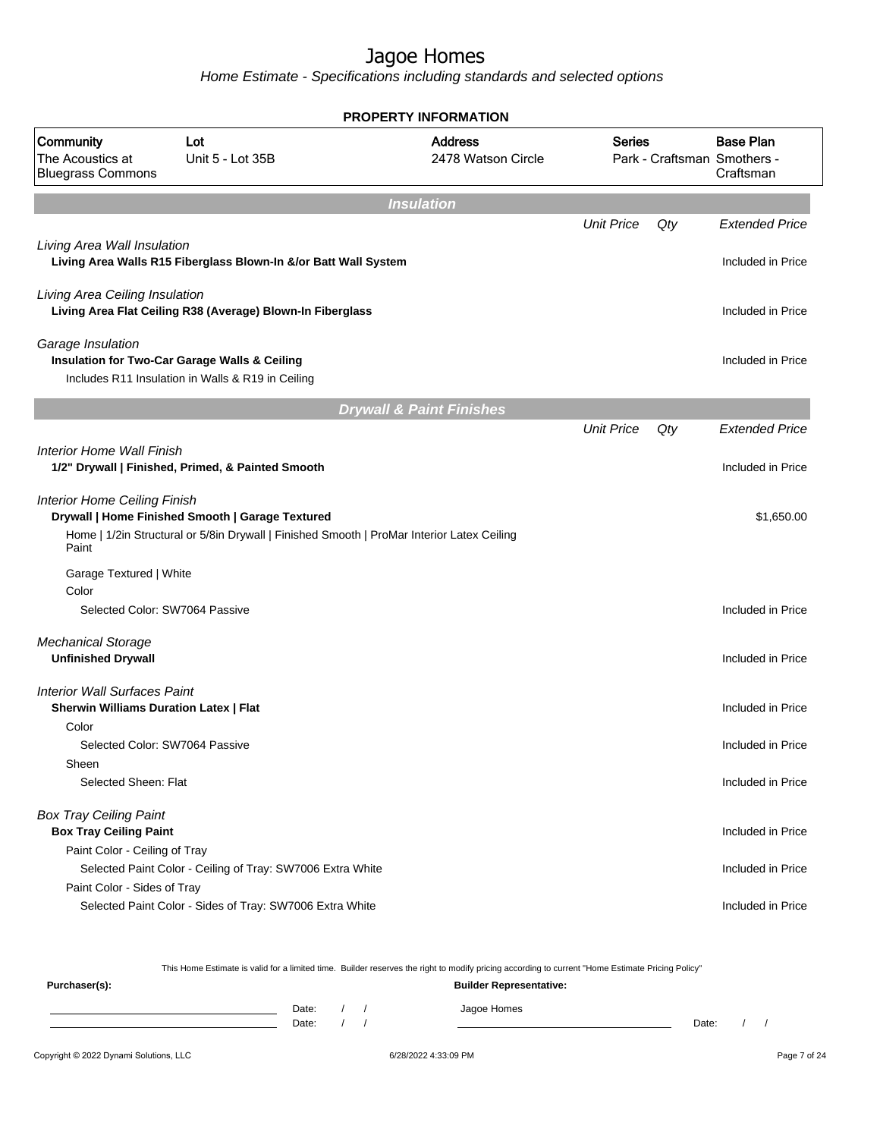Home Estimate - Specifications including standards and selected options

|                                                                                      |                                                                                                                                                | <b>PROPERTY INFORMATION</b>          |                   |     |                                                              |
|--------------------------------------------------------------------------------------|------------------------------------------------------------------------------------------------------------------------------------------------|--------------------------------------|-------------------|-----|--------------------------------------------------------------|
| <b>Community</b><br>The Acoustics at<br><b>Bluegrass Commons</b>                     | Lot<br>Unit 5 - Lot 35B                                                                                                                        | <b>Address</b><br>2478 Watson Circle | Series            |     | <b>Base Plan</b><br>Park - Craftsman Smothers -<br>Craftsman |
|                                                                                      |                                                                                                                                                | <b>Insulation</b>                    |                   |     |                                                              |
|                                                                                      |                                                                                                                                                |                                      | <b>Unit Price</b> | Qty | <b>Extended Price</b>                                        |
| Living Area Wall Insulation                                                          | Living Area Walls R15 Fiberglass Blown-In &/or Batt Wall System                                                                                |                                      |                   |     | Included in Price                                            |
|                                                                                      | Living Area Ceiling Insulation<br>Living Area Flat Ceiling R38 (Average) Blown-In Fiberglass                                                   |                                      |                   |     | Included in Price                                            |
| Garage Insulation                                                                    | Insulation for Two-Car Garage Walls & Ceiling<br>Includes R11 Insulation in Walls & R19 in Ceiling                                             |                                      |                   |     | Included in Price                                            |
|                                                                                      |                                                                                                                                                | <b>Drywall &amp; Paint Finishes</b>  |                   |     |                                                              |
|                                                                                      |                                                                                                                                                |                                      | <b>Unit Price</b> | Qty | <b>Extended Price</b>                                        |
| Interior Home Wall Finish                                                            | 1/2" Drywall   Finished, Primed, & Painted Smooth                                                                                              |                                      |                   |     | Included in Price                                            |
| <b>Interior Home Ceiling Finish</b><br>Paint                                         | Drywall   Home Finished Smooth   Garage Textured<br>Home   1/2in Structural or 5/8in Drywall   Finished Smooth   ProMar Interior Latex Ceiling |                                      |                   |     | \$1,650.00                                                   |
| Garage Textured   White                                                              |                                                                                                                                                |                                      |                   |     |                                                              |
| Color<br>Selected Color: SW7064 Passive                                              |                                                                                                                                                |                                      |                   |     | Included in Price                                            |
| <b>Mechanical Storage</b><br><b>Unfinished Drywall</b>                               |                                                                                                                                                |                                      |                   |     | Included in Price                                            |
| <b>Interior Wall Surfaces Paint</b><br><b>Sherwin Williams Duration Latex   Flat</b> |                                                                                                                                                |                                      |                   |     | Included in Price                                            |
| Color<br>Selected Color: SW7064 Passive                                              |                                                                                                                                                |                                      |                   |     | Included in Price                                            |
| Sheen                                                                                |                                                                                                                                                |                                      |                   |     |                                                              |
| Selected Sheen: Flat                                                                 |                                                                                                                                                |                                      |                   |     | Included in Price                                            |
| <b>Box Tray Ceiling Paint</b><br><b>Box Tray Ceiling Paint</b>                       |                                                                                                                                                |                                      |                   |     | Included in Price                                            |
| Paint Color - Ceiling of Tray                                                        | Selected Paint Color - Ceiling of Tray: SW7006 Extra White                                                                                     |                                      |                   |     | Included in Price                                            |
| Paint Color - Sides of Tray                                                          |                                                                                                                                                |                                      |                   |     |                                                              |
|                                                                                      | Selected Paint Color - Sides of Tray: SW7006 Extra White                                                                                       |                                      |                   |     | Included in Price                                            |

This Home Estimate is valid for a limited time. Builder reserves the right to modify pricing according to current "Home Estimate Pricing Policy"

| Purchaser(s): |                |  | <b>Builder Representative:</b> |       |  |
|---------------|----------------|--|--------------------------------|-------|--|
|               | Date:<br>Date: |  | Jagoe Homes                    | Date: |  |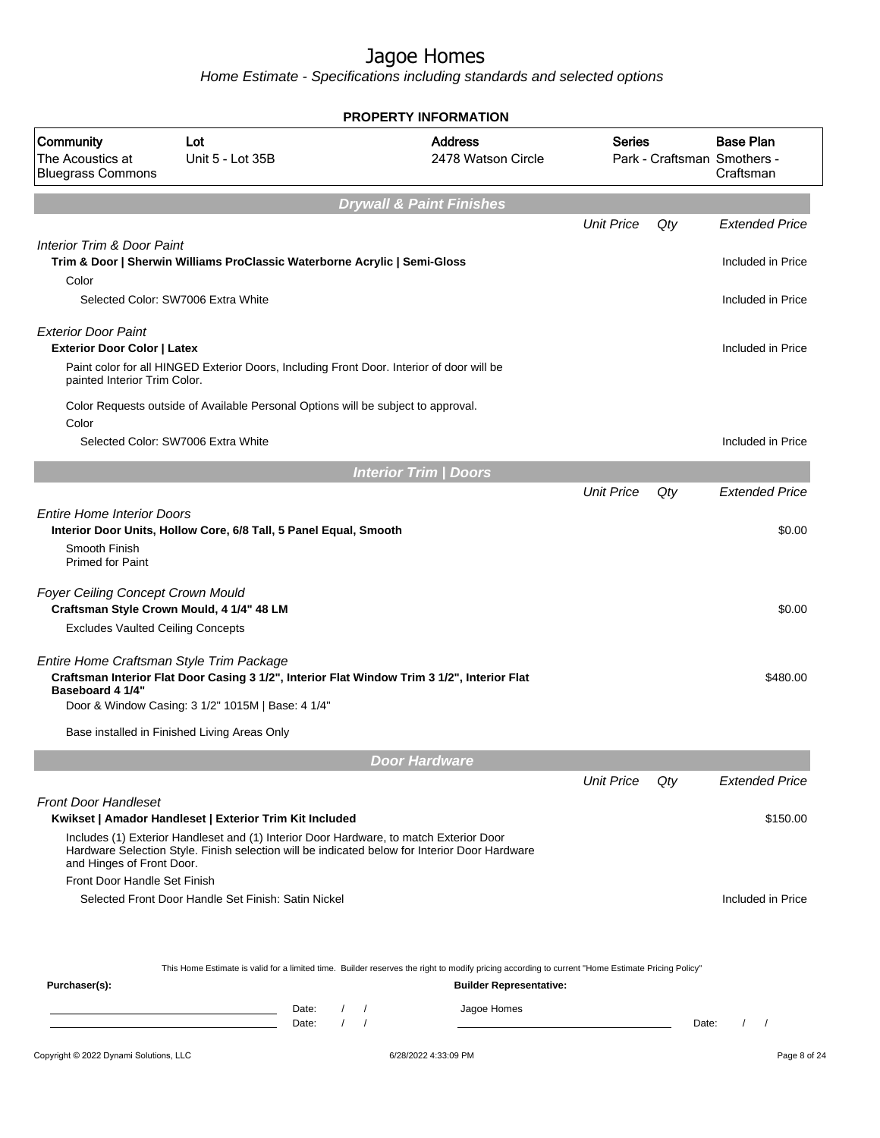|                                                                                |                                                                                                                                                                                         | PROPERTY INFORMATION                                                                                                                             |                   |     |                                                              |
|--------------------------------------------------------------------------------|-----------------------------------------------------------------------------------------------------------------------------------------------------------------------------------------|--------------------------------------------------------------------------------------------------------------------------------------------------|-------------------|-----|--------------------------------------------------------------|
| Community<br>The Acoustics at<br><b>Bluegrass Commons</b>                      | Lot<br>Unit 5 - Lot 35B                                                                                                                                                                 | <b>Address</b><br>2478 Watson Circle                                                                                                             | <b>Series</b>     |     | <b>Base Plan</b><br>Park - Craftsman Smothers -<br>Craftsman |
|                                                                                |                                                                                                                                                                                         | <b>Drywall &amp; Paint Finishes</b>                                                                                                              |                   |     |                                                              |
|                                                                                |                                                                                                                                                                                         |                                                                                                                                                  | <b>Unit Price</b> | Qty | <b>Extended Price</b>                                        |
| Interior Trim & Door Paint<br>Color                                            | Trim & Door   Sherwin Williams ProClassic Waterborne Acrylic   Semi-Gloss                                                                                                               |                                                                                                                                                  |                   |     | Included in Price                                            |
|                                                                                | Selected Color: SW7006 Extra White                                                                                                                                                      |                                                                                                                                                  |                   |     | Included in Price                                            |
| <b>Exterior Door Paint</b><br><b>Exterior Door Color   Latex</b>               |                                                                                                                                                                                         |                                                                                                                                                  |                   |     | Included in Price                                            |
| painted Interior Trim Color.                                                   | Paint color for all HINGED Exterior Doors, Including Front Door. Interior of door will be                                                                                               |                                                                                                                                                  |                   |     |                                                              |
| Color                                                                          | Color Requests outside of Available Personal Options will be subject to approval.                                                                                                       |                                                                                                                                                  |                   |     |                                                              |
|                                                                                | Selected Color: SW7006 Extra White                                                                                                                                                      |                                                                                                                                                  |                   |     | Included in Price                                            |
|                                                                                |                                                                                                                                                                                         | <b>Interior Trim / Doors</b>                                                                                                                     |                   |     |                                                              |
|                                                                                |                                                                                                                                                                                         |                                                                                                                                                  | <b>Unit Price</b> | Qty | <b>Extended Price</b>                                        |
| <b>Entire Home Interior Doors</b>                                              | Interior Door Units, Hollow Core, 6/8 Tall, 5 Panel Equal, Smooth                                                                                                                       |                                                                                                                                                  |                   |     | \$0.00                                                       |
| Smooth Finish<br><b>Primed for Paint</b>                                       |                                                                                                                                                                                         |                                                                                                                                                  |                   |     |                                                              |
| Foyer Ceiling Concept Crown Mould<br>Craftsman Style Crown Mould, 4 1/4" 48 LM |                                                                                                                                                                                         |                                                                                                                                                  |                   |     | \$0.00                                                       |
| <b>Excludes Vaulted Ceiling Concepts</b>                                       |                                                                                                                                                                                         |                                                                                                                                                  |                   |     |                                                              |
| Entire Home Craftsman Style Trim Package<br>Baseboard 4 1/4"                   | Craftsman Interior Flat Door Casing 3 1/2", Interior Flat Window Trim 3 1/2", Interior Flat                                                                                             |                                                                                                                                                  |                   |     | \$480.00                                                     |
|                                                                                | Door & Window Casing: 3 1/2" 1015M   Base: 4 1/4"                                                                                                                                       |                                                                                                                                                  |                   |     |                                                              |
|                                                                                | Base installed in Finished Living Areas Only                                                                                                                                            |                                                                                                                                                  |                   |     |                                                              |
|                                                                                |                                                                                                                                                                                         | <b>Door Hardware</b>                                                                                                                             |                   |     |                                                              |
|                                                                                |                                                                                                                                                                                         |                                                                                                                                                  | <b>Unit Price</b> | Qty | <b>Extended Price</b>                                        |
| <b>Front Door Handleset</b>                                                    | Kwikset   Amador Handleset   Exterior Trim Kit Included                                                                                                                                 |                                                                                                                                                  |                   |     | \$150.00                                                     |
| and Hinges of Front Door.                                                      | Includes (1) Exterior Handleset and (1) Interior Door Hardware, to match Exterior Door<br>Hardware Selection Style. Finish selection will be indicated below for Interior Door Hardware |                                                                                                                                                  |                   |     |                                                              |
| Front Door Handle Set Finish                                                   |                                                                                                                                                                                         |                                                                                                                                                  |                   |     |                                                              |
|                                                                                | Selected Front Door Handle Set Finish: Satin Nickel                                                                                                                                     |                                                                                                                                                  |                   |     | Included in Price                                            |
|                                                                                |                                                                                                                                                                                         | This Home Estimate is valid for a limited time. Builder reserves the right to modify pricing according to current "Home Estimate Pricing Policy" |                   |     |                                                              |
| Purchaser(s):                                                                  |                                                                                                                                                                                         | <b>Builder Representative:</b>                                                                                                                   |                   |     |                                                              |
|                                                                                | Date:<br>$\prime$                                                                                                                                                                       | Jagoe Homes                                                                                                                                      |                   |     |                                                              |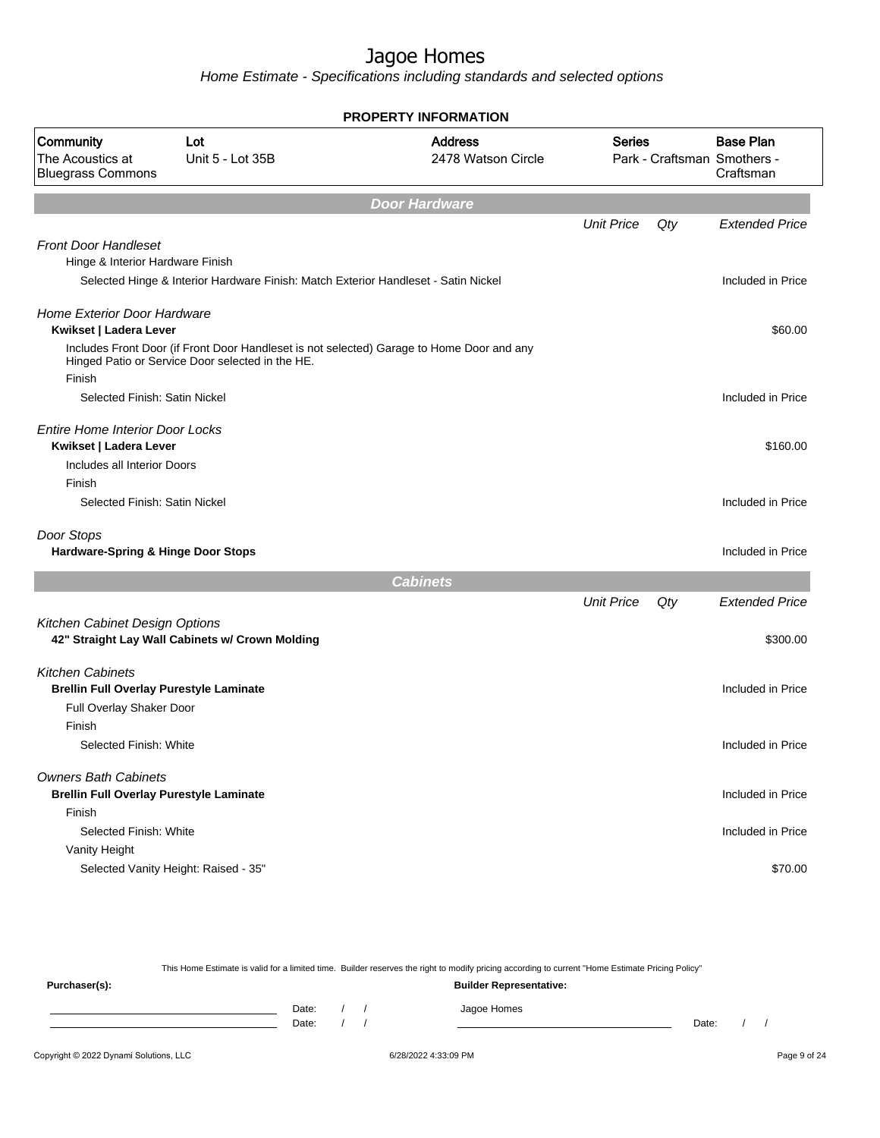Home Estimate - Specifications including standards and selected options

| <b>PROPERTY INFORMATION</b>                                                   |                                                                                                                                               |                                      |                   |     |                                                              |  |  |
|-------------------------------------------------------------------------------|-----------------------------------------------------------------------------------------------------------------------------------------------|--------------------------------------|-------------------|-----|--------------------------------------------------------------|--|--|
| Community<br>The Acoustics at<br><b>Bluegrass Commons</b>                     | Lot<br>Unit 5 - Lot 35B                                                                                                                       | <b>Address</b><br>2478 Watson Circle | <b>Series</b>     |     | <b>Base Plan</b><br>Park - Craftsman Smothers -<br>Craftsman |  |  |
|                                                                               |                                                                                                                                               | <b>Door Hardware</b>                 |                   |     |                                                              |  |  |
|                                                                               |                                                                                                                                               |                                      | <b>Unit Price</b> | Qty | <b>Extended Price</b>                                        |  |  |
| <b>Front Door Handleset</b><br>Hinge & Interior Hardware Finish               |                                                                                                                                               |                                      |                   |     |                                                              |  |  |
|                                                                               | Selected Hinge & Interior Hardware Finish: Match Exterior Handleset - Satin Nickel                                                            |                                      |                   |     | Included in Price                                            |  |  |
| <b>Home Exterior Door Hardware</b><br>Kwikset   Ladera Lever                  |                                                                                                                                               |                                      |                   |     | \$60.00                                                      |  |  |
| Finish                                                                        | Includes Front Door (if Front Door Handleset is not selected) Garage to Home Door and any<br>Hinged Patio or Service Door selected in the HE. |                                      |                   |     |                                                              |  |  |
| Selected Finish: Satin Nickel                                                 |                                                                                                                                               |                                      |                   |     | Included in Price                                            |  |  |
| <b>Entire Home Interior Door Locks</b><br>Kwikset   Ladera Lever              |                                                                                                                                               |                                      |                   |     | \$160.00                                                     |  |  |
| Includes all Interior Doors                                                   |                                                                                                                                               |                                      |                   |     |                                                              |  |  |
| Finish<br>Selected Finish: Satin Nickel                                       |                                                                                                                                               |                                      |                   |     | Included in Price                                            |  |  |
| Door Stops<br>Hardware-Spring & Hinge Door Stops                              |                                                                                                                                               |                                      |                   |     | Included in Price                                            |  |  |
|                                                                               |                                                                                                                                               | <b>Cabinets</b>                      |                   |     |                                                              |  |  |
|                                                                               |                                                                                                                                               |                                      | <b>Unit Price</b> | Qty | <b>Extended Price</b>                                        |  |  |
| Kitchen Cabinet Design Options                                                | 42" Straight Lay Wall Cabinets w/ Crown Molding                                                                                               |                                      |                   |     | \$300.00                                                     |  |  |
| <b>Kitchen Cabinets</b><br><b>Brellin Full Overlay Purestyle Laminate</b>     |                                                                                                                                               |                                      |                   |     | Included in Price                                            |  |  |
| Full Overlay Shaker Door<br>Finish                                            |                                                                                                                                               |                                      |                   |     |                                                              |  |  |
| Selected Finish: White                                                        |                                                                                                                                               |                                      |                   |     | Included in Price                                            |  |  |
|                                                                               |                                                                                                                                               |                                      |                   |     |                                                              |  |  |
| <b>Owners Bath Cabinets</b><br><b>Brellin Full Overlay Purestyle Laminate</b> |                                                                                                                                               |                                      |                   |     | Included in Price                                            |  |  |
| Finish                                                                        |                                                                                                                                               |                                      |                   |     |                                                              |  |  |
| Selected Finish: White                                                        |                                                                                                                                               |                                      |                   |     | Included in Price                                            |  |  |
| Vanity Height                                                                 | Selected Vanity Height: Raised - 35"                                                                                                          |                                      |                   |     | \$70.00                                                      |  |  |
|                                                                               |                                                                                                                                               |                                      |                   |     |                                                              |  |  |

This Home Estimate is valid for a limited time. Builder reserves the right to modify pricing according to current "Home Estimate Pricing Policy" **Purchaser(s): Builder Representative:**

| Date: |  | Jagoe Homes<br>. . <b>. .</b> . |       |  |
|-------|--|---------------------------------|-------|--|
| Date: |  |                                 | Date: |  |
|       |  |                                 |       |  |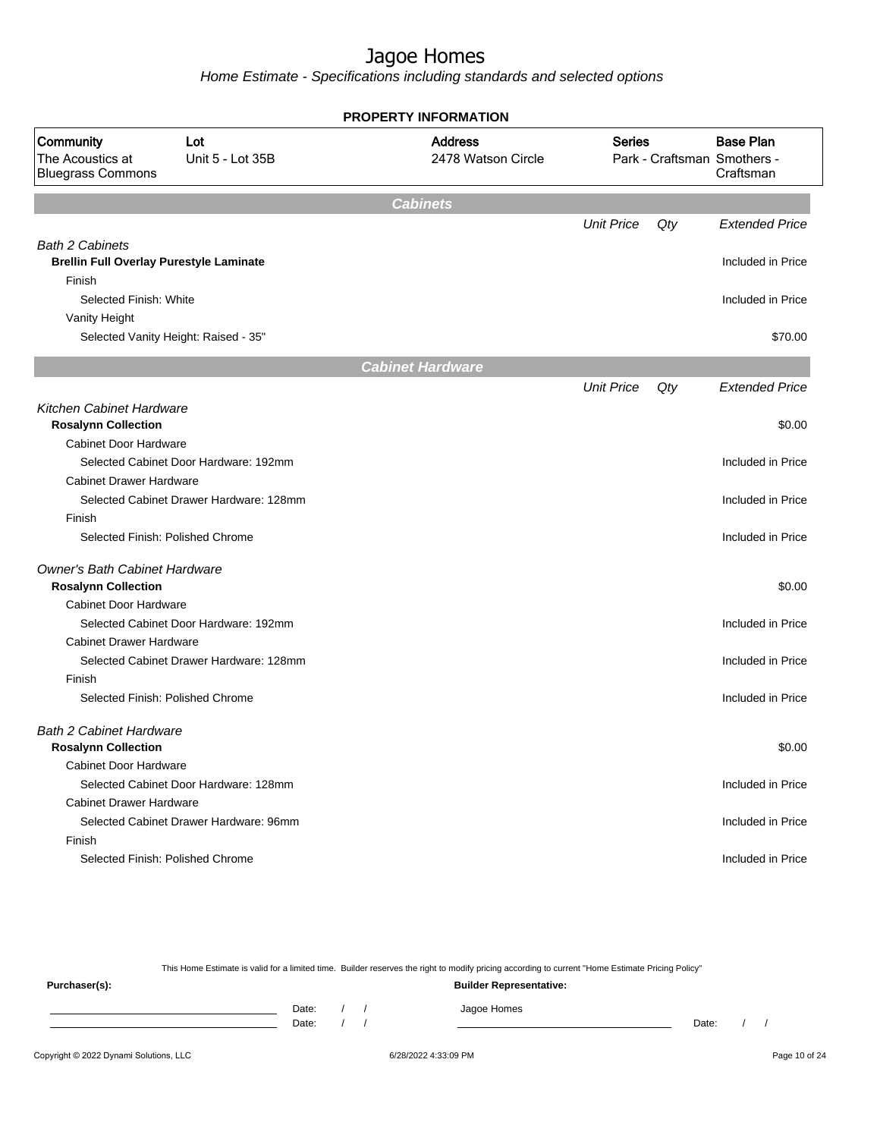Home Estimate - Specifications including standards and selected options

|                                                                                    |                                         | PROPERTY INFORMATION                 |                   |     |                                                              |
|------------------------------------------------------------------------------------|-----------------------------------------|--------------------------------------|-------------------|-----|--------------------------------------------------------------|
| Community<br>The Acoustics at<br><b>Bluegrass Commons</b>                          | Lot<br>Unit 5 - Lot 35B                 | <b>Address</b><br>2478 Watson Circle | <b>Series</b>     |     | <b>Base Plan</b><br>Park - Craftsman Smothers -<br>Craftsman |
|                                                                                    |                                         | <b>Cabinets</b>                      |                   |     |                                                              |
|                                                                                    |                                         |                                      | <b>Unit Price</b> | Qty | <b>Extended Price</b>                                        |
| <b>Bath 2 Cabinets</b><br><b>Brellin Full Overlay Purestyle Laminate</b><br>Finish |                                         |                                      |                   |     | Included in Price                                            |
| Selected Finish: White                                                             |                                         |                                      |                   |     | Included in Price                                            |
| Vanity Height                                                                      |                                         |                                      |                   |     |                                                              |
|                                                                                    | Selected Vanity Height: Raised - 35"    |                                      |                   |     | \$70.00                                                      |
|                                                                                    |                                         | <b>Cabinet Hardware</b>              |                   |     |                                                              |
|                                                                                    |                                         |                                      | <b>Unit Price</b> | Qty | <b>Extended Price</b>                                        |
| <b>Kitchen Cabinet Hardware</b>                                                    |                                         |                                      |                   |     |                                                              |
| <b>Rosalynn Collection</b>                                                         |                                         |                                      |                   |     | \$0.00                                                       |
| <b>Cabinet Door Hardware</b>                                                       |                                         |                                      |                   |     |                                                              |
|                                                                                    | Selected Cabinet Door Hardware: 192mm   |                                      |                   |     | Included in Price                                            |
| <b>Cabinet Drawer Hardware</b>                                                     |                                         |                                      |                   |     |                                                              |
|                                                                                    | Selected Cabinet Drawer Hardware: 128mm |                                      |                   |     | Included in Price                                            |
| Finish                                                                             |                                         |                                      |                   |     |                                                              |
| Selected Finish: Polished Chrome                                                   |                                         |                                      |                   |     | Included in Price                                            |
| <b>Owner's Bath Cabinet Hardware</b><br><b>Rosalynn Collection</b>                 |                                         |                                      |                   |     | \$0.00                                                       |
| <b>Cabinet Door Hardware</b>                                                       |                                         |                                      |                   |     |                                                              |
|                                                                                    | Selected Cabinet Door Hardware: 192mm   |                                      |                   |     | Included in Price                                            |
| <b>Cabinet Drawer Hardware</b>                                                     |                                         |                                      |                   |     |                                                              |
|                                                                                    | Selected Cabinet Drawer Hardware: 128mm |                                      |                   |     | Included in Price                                            |
| Finish                                                                             |                                         |                                      |                   |     |                                                              |
| Selected Finish: Polished Chrome                                                   |                                         |                                      |                   |     | Included in Price                                            |
| <b>Bath 2 Cabinet Hardware</b><br><b>Rosalynn Collection</b>                       |                                         |                                      |                   |     | \$0.00                                                       |
| Cabinet Door Hardware                                                              |                                         |                                      |                   |     |                                                              |
|                                                                                    | Selected Cabinet Door Hardware: 128mm   |                                      |                   |     | Included in Price                                            |
| <b>Cabinet Drawer Hardware</b>                                                     |                                         |                                      |                   |     |                                                              |
|                                                                                    | Selected Cabinet Drawer Hardware: 96mm  |                                      |                   |     | Included in Price                                            |
| Finish                                                                             |                                         |                                      |                   |     |                                                              |
| Selected Finish: Polished Chrome                                                   |                                         |                                      |                   |     | Included in Price                                            |
|                                                                                    |                                         |                                      |                   |     |                                                              |

This Home Estimate is valid for a limited time. Builder reserves the right to modify pricing according to current "Home Estimate Pricing Policy"

**Purchaser(s): Builder Representative:** Date: / / Jagoe Homes<br>Date: / / Jagoe Homes Date: / / **Date: / / 2006** Date: / / / Date: / / / Date: / / / 2006 Date: / / / 2006 Date: / / / 2006 Date: / / / 2006 Date: / / / 2007 Date: / / / 2007 Date: / / / 2007 Date: / / / 2007 Date: / / / 2007 Date: / / / 2007 D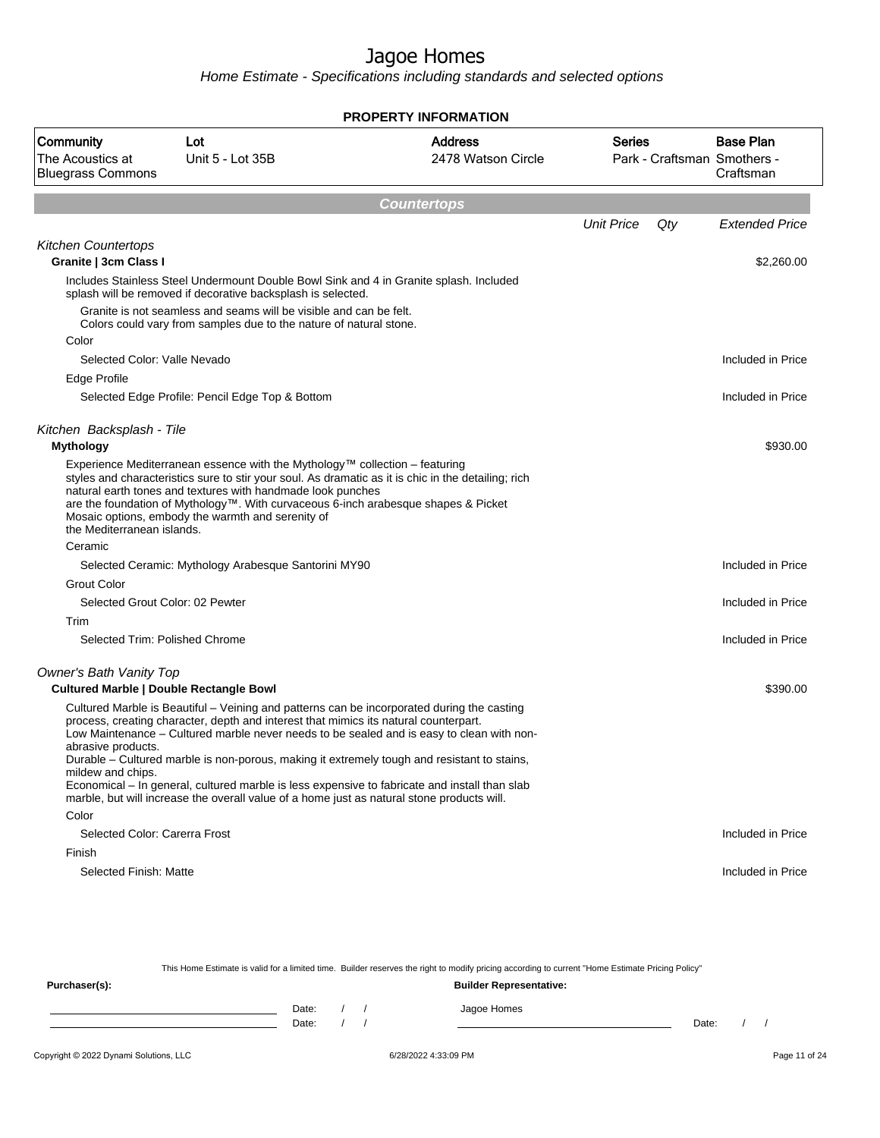Home Estimate - Specifications including standards and selected options

| <b>PROPERTY INFORMATION</b>                               |                                                                                                                                                                                                                                                                                                                                                                                                                                                                                                                                                                               |                                      |                   |     |                                                              |  |
|-----------------------------------------------------------|-------------------------------------------------------------------------------------------------------------------------------------------------------------------------------------------------------------------------------------------------------------------------------------------------------------------------------------------------------------------------------------------------------------------------------------------------------------------------------------------------------------------------------------------------------------------------------|--------------------------------------|-------------------|-----|--------------------------------------------------------------|--|
| Community<br>The Acoustics at<br><b>Bluegrass Commons</b> | Lot<br>Unit 5 - Lot 35B                                                                                                                                                                                                                                                                                                                                                                                                                                                                                                                                                       | <b>Address</b><br>2478 Watson Circle | <b>Series</b>     |     | <b>Base Plan</b><br>Park - Craftsman Smothers -<br>Craftsman |  |
|                                                           |                                                                                                                                                                                                                                                                                                                                                                                                                                                                                                                                                                               | <b>Countertops</b>                   |                   |     |                                                              |  |
|                                                           |                                                                                                                                                                                                                                                                                                                                                                                                                                                                                                                                                                               |                                      | <b>Unit Price</b> | Qty | <b>Extended Price</b>                                        |  |
| <b>Kitchen Countertops</b>                                |                                                                                                                                                                                                                                                                                                                                                                                                                                                                                                                                                                               |                                      |                   |     |                                                              |  |
| Granite   3cm Class I                                     |                                                                                                                                                                                                                                                                                                                                                                                                                                                                                                                                                                               |                                      |                   |     | \$2,260.00                                                   |  |
|                                                           | Includes Stainless Steel Undermount Double Bowl Sink and 4 in Granite splash. Included<br>splash will be removed if decorative backsplash is selected.                                                                                                                                                                                                                                                                                                                                                                                                                        |                                      |                   |     |                                                              |  |
|                                                           | Granite is not seamless and seams will be visible and can be felt.<br>Colors could vary from samples due to the nature of natural stone.                                                                                                                                                                                                                                                                                                                                                                                                                                      |                                      |                   |     |                                                              |  |
| Color                                                     |                                                                                                                                                                                                                                                                                                                                                                                                                                                                                                                                                                               |                                      |                   |     |                                                              |  |
| Selected Color: Valle Nevado                              |                                                                                                                                                                                                                                                                                                                                                                                                                                                                                                                                                                               |                                      |                   |     | Included in Price                                            |  |
| Edge Profile                                              |                                                                                                                                                                                                                                                                                                                                                                                                                                                                                                                                                                               |                                      |                   |     |                                                              |  |
|                                                           | Selected Edge Profile: Pencil Edge Top & Bottom                                                                                                                                                                                                                                                                                                                                                                                                                                                                                                                               |                                      |                   |     | Included in Price                                            |  |
|                                                           |                                                                                                                                                                                                                                                                                                                                                                                                                                                                                                                                                                               |                                      |                   |     |                                                              |  |
| Kitchen Backsplash - Tile<br><b>Mythology</b>             |                                                                                                                                                                                                                                                                                                                                                                                                                                                                                                                                                                               |                                      |                   |     | \$930.00                                                     |  |
| the Mediterranean islands.                                | Experience Mediterranean essence with the Mythology <sup><math>m</math></sup> collection – featuring<br>styles and characteristics sure to stir your soul. As dramatic as it is chic in the detailing; rich<br>natural earth tones and textures with handmade look punches<br>are the foundation of Mythology™. With curvaceous 6-inch arabesque shapes & Picket<br>Mosaic options, embody the warmth and serenity of                                                                                                                                                         |                                      |                   |     |                                                              |  |
| Ceramic                                                   |                                                                                                                                                                                                                                                                                                                                                                                                                                                                                                                                                                               |                                      |                   |     |                                                              |  |
|                                                           | Selected Ceramic: Mythology Arabesque Santorini MY90                                                                                                                                                                                                                                                                                                                                                                                                                                                                                                                          |                                      |                   |     | Included in Price                                            |  |
| <b>Grout Color</b>                                        |                                                                                                                                                                                                                                                                                                                                                                                                                                                                                                                                                                               |                                      |                   |     |                                                              |  |
|                                                           | Selected Grout Color: 02 Pewter                                                                                                                                                                                                                                                                                                                                                                                                                                                                                                                                               |                                      |                   |     | Included in Price                                            |  |
| Trim                                                      |                                                                                                                                                                                                                                                                                                                                                                                                                                                                                                                                                                               |                                      |                   |     |                                                              |  |
|                                                           | Selected Trim: Polished Chrome                                                                                                                                                                                                                                                                                                                                                                                                                                                                                                                                                |                                      |                   |     | Included in Price                                            |  |
| Owner's Bath Vanity Top                                   | <b>Cultured Marble   Double Rectangle Bowl</b>                                                                                                                                                                                                                                                                                                                                                                                                                                                                                                                                |                                      |                   |     | \$390.00                                                     |  |
| abrasive products.<br>mildew and chips.                   | Cultured Marble is Beautiful – Veining and patterns can be incorporated during the casting<br>process, creating character, depth and interest that mimics its natural counterpart.<br>Low Maintenance - Cultured marble never needs to be sealed and is easy to clean with non-<br>Durable – Cultured marble is non-porous, making it extremely tough and resistant to stains,<br>Economical – In general, cultured marble is less expensive to fabricate and install than slab<br>marble, but will increase the overall value of a home just as natural stone products will. |                                      |                   |     |                                                              |  |
| Color                                                     |                                                                                                                                                                                                                                                                                                                                                                                                                                                                                                                                                                               |                                      |                   |     |                                                              |  |
| Selected Color: Carerra Frost                             |                                                                                                                                                                                                                                                                                                                                                                                                                                                                                                                                                                               |                                      |                   |     | Included in Price                                            |  |
| Finish                                                    |                                                                                                                                                                                                                                                                                                                                                                                                                                                                                                                                                                               |                                      |                   |     |                                                              |  |
| Selected Finish: Matte                                    |                                                                                                                                                                                                                                                                                                                                                                                                                                                                                                                                                                               |                                      |                   |     | Included in Price                                            |  |

This Home Estimate is valid for a limited time. Builder reserves the right to modify pricing according to current "Home Estimate Pricing Policy" **Purchaser(s): Builder Representative:** Date: / / Jagoe Homes<br>Date: / / Jagoe Homes Date: / / Date: / /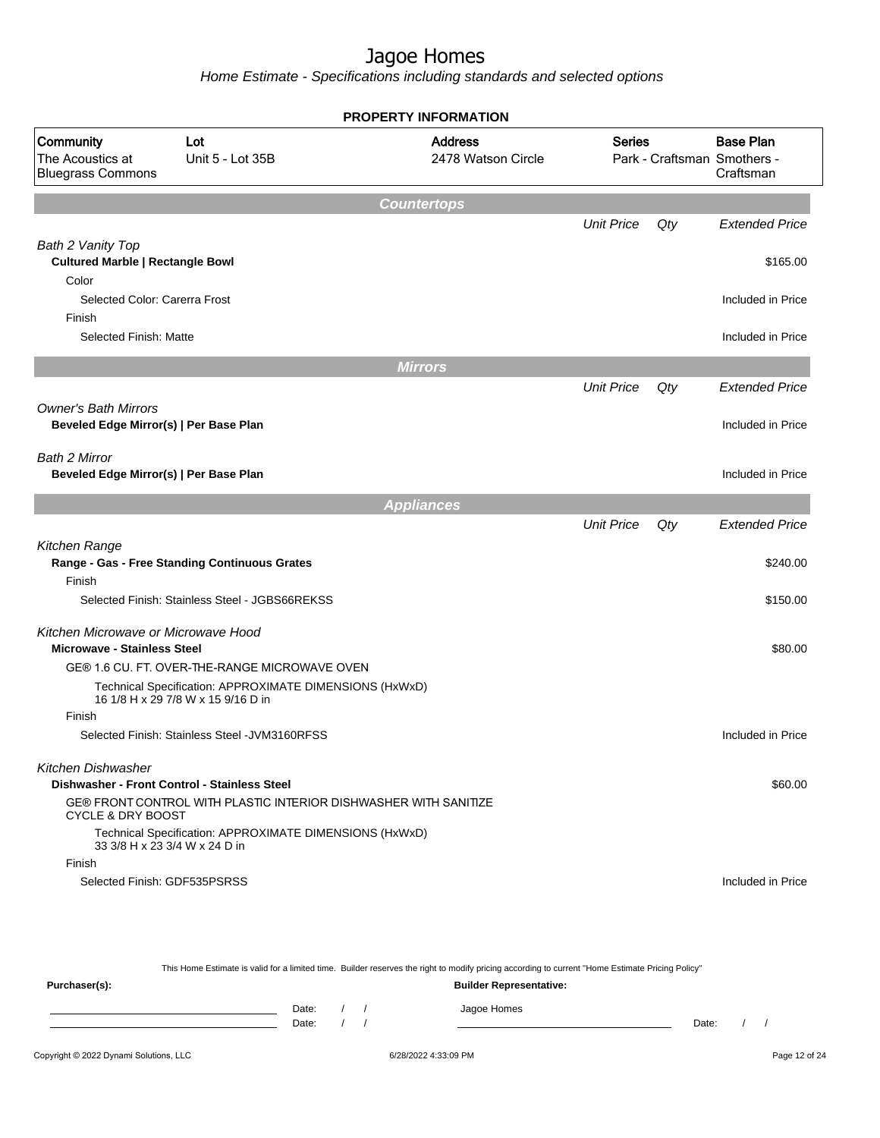|                                                                       |                                                                                               | PROPERTY INFORMATION                 |                   |     |                                                              |
|-----------------------------------------------------------------------|-----------------------------------------------------------------------------------------------|--------------------------------------|-------------------|-----|--------------------------------------------------------------|
| Community<br>The Acoustics at<br><b>Bluegrass Commons</b>             | Lot<br>Unit 5 - Lot 35B                                                                       | <b>Address</b><br>2478 Watson Circle | <b>Series</b>     |     | <b>Base Plan</b><br>Park - Craftsman Smothers -<br>Craftsman |
|                                                                       |                                                                                               | <b>Countertops</b>                   |                   |     |                                                              |
|                                                                       |                                                                                               |                                      | <b>Unit Price</b> | Qty | <b>Extended Price</b>                                        |
| Bath 2 Vanity Top<br><b>Cultured Marble   Rectangle Bowl</b><br>Color |                                                                                               |                                      |                   |     | \$165.00                                                     |
| Selected Color: Carerra Frost<br>Finish                               |                                                                                               |                                      |                   |     | Included in Price                                            |
| Selected Finish: Matte                                                |                                                                                               |                                      |                   |     | Included in Price                                            |
|                                                                       |                                                                                               | <b>Mirrors</b>                       |                   |     |                                                              |
|                                                                       |                                                                                               |                                      | <b>Unit Price</b> | Qty | <b>Extended Price</b>                                        |
| <b>Owner's Bath Mirrors</b><br>Beveled Edge Mirror(s)   Per Base Plan |                                                                                               |                                      |                   |     | Included in Price                                            |
| Bath 2 Mirror<br>Beveled Edge Mirror(s)   Per Base Plan               |                                                                                               |                                      |                   |     | Included in Price                                            |
|                                                                       |                                                                                               | <b>Appliances</b>                    |                   |     |                                                              |
|                                                                       |                                                                                               |                                      | <b>Unit Price</b> | Qty | <b>Extended Price</b>                                        |
| Kitchen Range                                                         |                                                                                               |                                      |                   |     |                                                              |
| Finish                                                                | Range - Gas - Free Standing Continuous Grates                                                 |                                      |                   |     | \$240.00                                                     |
|                                                                       | Selected Finish: Stainless Steel - JGBS66REKSS                                                |                                      |                   |     | \$150.00                                                     |
| Kitchen Microwave or Microwave Hood                                   |                                                                                               |                                      |                   |     |                                                              |
| <b>Microwave - Stainless Steel</b>                                    |                                                                                               |                                      |                   |     | \$80.00                                                      |
|                                                                       | GE® 1.6 CU. FT. OVER-THE-RANGE MICROWAVE OVEN                                                 |                                      |                   |     |                                                              |
|                                                                       | Technical Specification: APPROXIMATE DIMENSIONS (HxWxD)<br>16 1/8 H x 29 7/8 W x 15 9/16 D in |                                      |                   |     |                                                              |
| Finish                                                                |                                                                                               |                                      |                   |     |                                                              |
|                                                                       | Selected Finish: Stainless Steel - JVM3160RFSS                                                |                                      |                   |     | Included in Price                                            |
| Kitchen Dishwasher                                                    |                                                                                               |                                      |                   |     |                                                              |
|                                                                       | Dishwasher - Front Control - Stainless Steel                                                  |                                      |                   |     | \$60.00                                                      |
| CYCLE & DRY BOOST                                                     | GE® FRONT CONTROL WITH PLASTIC INTERIOR DISHWASHER WITH SANITIZE                              |                                      |                   |     |                                                              |
|                                                                       | Technical Specification: APPROXIMATE DIMENSIONS (HxWxD)<br>33 3/8 H x 23 3/4 W x 24 D in      |                                      |                   |     |                                                              |
| Finish                                                                |                                                                                               |                                      |                   |     |                                                              |
|                                                                       | Selected Finish: GDF535PSRSS                                                                  |                                      |                   |     | Included in Price                                            |

| This Home Estimate is valid for a limited time. Builder reserves the right to modify pricing according to current "Home Estimate Pricing Policy" |       |  |  |  |                                |       |  |  |
|--------------------------------------------------------------------------------------------------------------------------------------------------|-------|--|--|--|--------------------------------|-------|--|--|
| Purchaser(s):                                                                                                                                    |       |  |  |  | <b>Builder Representative:</b> |       |  |  |
|                                                                                                                                                  | Date: |  |  |  | Jagoe Homes                    |       |  |  |
|                                                                                                                                                  | Date: |  |  |  |                                | Date: |  |  |
|                                                                                                                                                  |       |  |  |  |                                |       |  |  |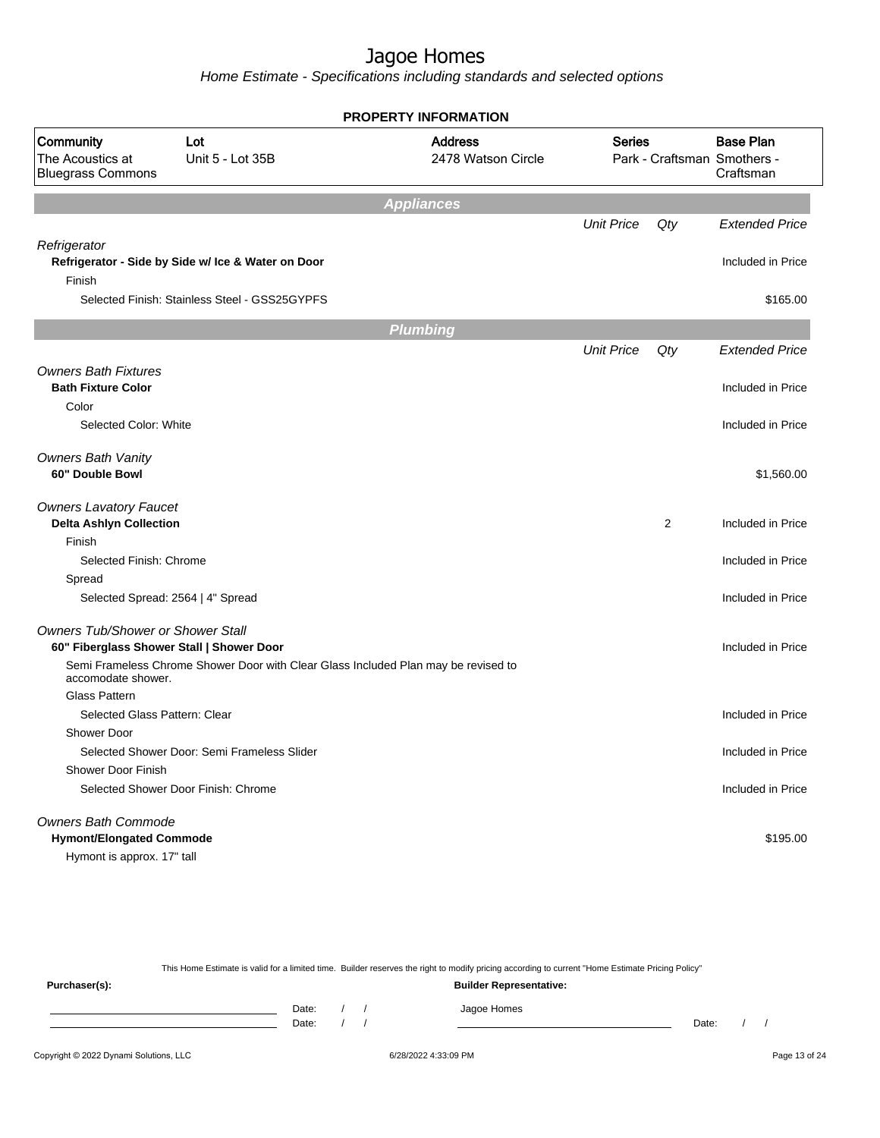Home Estimate - Specifications including standards and selected options

|                                                           |                                                                                    | <b>PROPERTY INFORMATION</b>          |                   |     |                                                              |
|-----------------------------------------------------------|------------------------------------------------------------------------------------|--------------------------------------|-------------------|-----|--------------------------------------------------------------|
| Community<br>The Acoustics at<br><b>Bluegrass Commons</b> | Lot<br>Unit 5 - Lot 35B                                                            | <b>Address</b><br>2478 Watson Circle | <b>Series</b>     |     | <b>Base Plan</b><br>Park - Craftsman Smothers -<br>Craftsman |
|                                                           |                                                                                    | <b>Appliances</b>                    |                   |     |                                                              |
|                                                           |                                                                                    |                                      | <b>Unit Price</b> | Qty | <b>Extended Price</b>                                        |
| Refrigerator                                              |                                                                                    |                                      |                   |     |                                                              |
|                                                           | Refrigerator - Side by Side w/ Ice & Water on Door                                 |                                      |                   |     | Included in Price                                            |
| Finish                                                    |                                                                                    |                                      |                   |     |                                                              |
|                                                           | Selected Finish: Stainless Steel - GSS25GYPFS                                      |                                      |                   |     | \$165.00                                                     |
|                                                           |                                                                                    | <b>Plumbing</b>                      |                   |     |                                                              |
|                                                           |                                                                                    |                                      | <b>Unit Price</b> | Qty | <b>Extended Price</b>                                        |
| <b>Owners Bath Fixtures</b>                               |                                                                                    |                                      |                   |     |                                                              |
| <b>Bath Fixture Color</b>                                 |                                                                                    |                                      |                   |     | Included in Price                                            |
| Color                                                     |                                                                                    |                                      |                   |     |                                                              |
| Selected Color: White                                     |                                                                                    |                                      |                   |     | Included in Price                                            |
|                                                           |                                                                                    |                                      |                   |     |                                                              |
| <b>Owners Bath Vanity</b><br>60" Double Bowl              |                                                                                    |                                      |                   |     | \$1,560.00                                                   |
|                                                           |                                                                                    |                                      |                   |     |                                                              |
| <b>Owners Lavatory Faucet</b>                             |                                                                                    |                                      |                   |     |                                                              |
| <b>Delta Ashlyn Collection</b>                            |                                                                                    |                                      |                   | 2   | Included in Price                                            |
| Finish                                                    |                                                                                    |                                      |                   |     |                                                              |
| Selected Finish: Chrome                                   |                                                                                    |                                      |                   |     | Included in Price                                            |
| Spread                                                    |                                                                                    |                                      |                   |     |                                                              |
|                                                           | Selected Spread: 2564   4" Spread                                                  |                                      |                   |     | Included in Price                                            |
| <b>Owners Tub/Shower or Shower Stall</b>                  |                                                                                    |                                      |                   |     |                                                              |
|                                                           | 60" Fiberglass Shower Stall   Shower Door                                          |                                      |                   |     | Included in Price                                            |
| accomodate shower.                                        | Semi Frameless Chrome Shower Door with Clear Glass Included Plan may be revised to |                                      |                   |     |                                                              |
| <b>Glass Pattern</b>                                      |                                                                                    |                                      |                   |     |                                                              |
| Selected Glass Pattern: Clear                             |                                                                                    |                                      |                   |     | Included in Price                                            |
| Shower Door                                               |                                                                                    |                                      |                   |     |                                                              |
|                                                           | Selected Shower Door: Semi Frameless Slider                                        |                                      |                   |     | Included in Price                                            |
| <b>Shower Door Finish</b>                                 |                                                                                    |                                      |                   |     |                                                              |
|                                                           | Selected Shower Door Finish: Chrome                                                |                                      |                   |     | Included in Price                                            |
| <b>Owners Bath Commode</b>                                |                                                                                    |                                      |                   |     |                                                              |
| <b>Hymont/Elongated Commode</b>                           |                                                                                    |                                      |                   |     | \$195.00                                                     |
| Hymont is approx. 17" tall                                |                                                                                    |                                      |                   |     |                                                              |

This Home Estimate is valid for a limited time. Builder reserves the right to modify pricing according to current "Home Estimate Pricing Policy" **Purchaser(s): Builder Representative:** Date: / / Jagoe Homes<br>Date: / / Jagoe Homes Date: / / Date: / /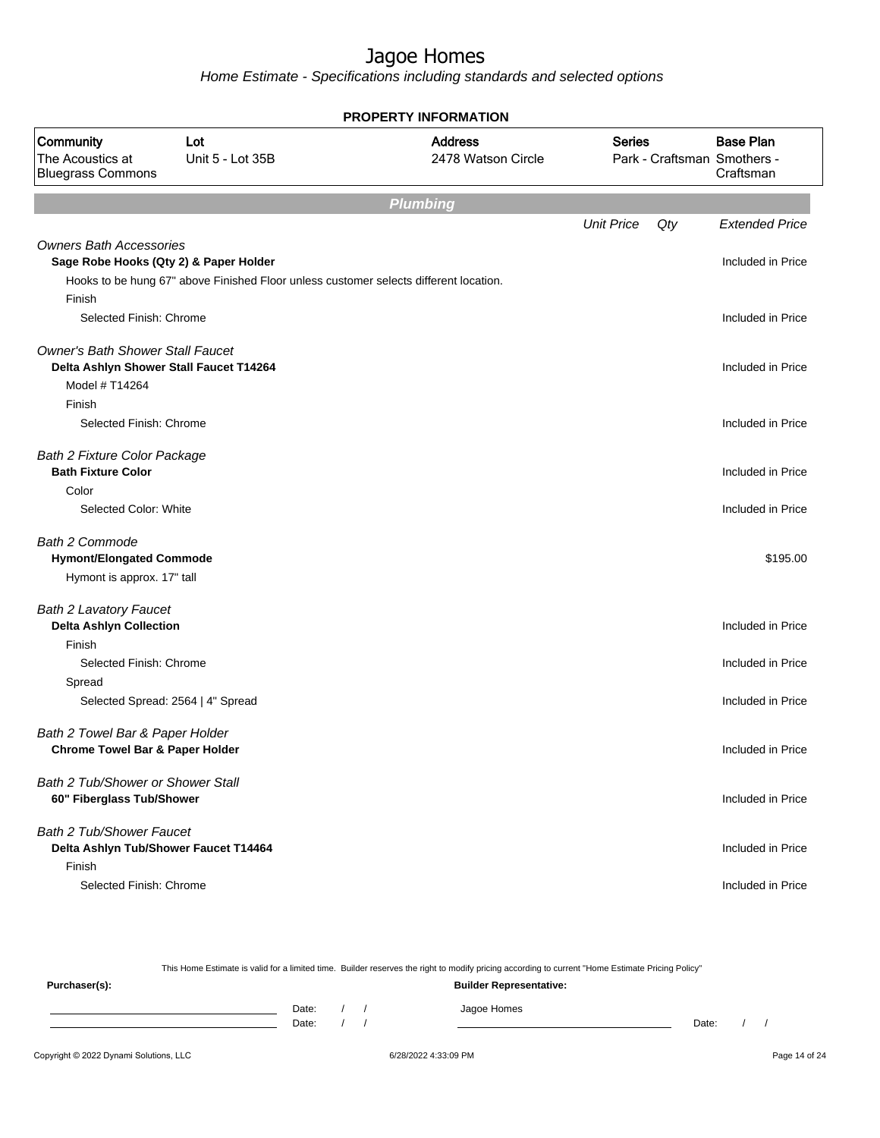Home Estimate - Specifications including standards and selected options

|                                                                                                      | <b>PROPERTY INFORMATION</b>                                                           |                                      |                   |     |                                                              |  |  |  |
|------------------------------------------------------------------------------------------------------|---------------------------------------------------------------------------------------|--------------------------------------|-------------------|-----|--------------------------------------------------------------|--|--|--|
| Community<br>The Acoustics at<br><b>Bluegrass Commons</b>                                            | Lot<br>Unit 5 - Lot 35B                                                               | <b>Address</b><br>2478 Watson Circle | <b>Series</b>     |     | <b>Base Plan</b><br>Park - Craftsman Smothers -<br>Craftsman |  |  |  |
|                                                                                                      |                                                                                       | <b>Plumbing</b>                      |                   |     |                                                              |  |  |  |
|                                                                                                      |                                                                                       |                                      | <b>Unit Price</b> | Qty | <b>Extended Price</b>                                        |  |  |  |
| <b>Owners Bath Accessories</b><br>Sage Robe Hooks (Qty 2) & Paper Holder                             | Hooks to be hung 67" above Finished Floor unless customer selects different location. |                                      |                   |     | Included in Price                                            |  |  |  |
| Finish                                                                                               |                                                                                       |                                      |                   |     |                                                              |  |  |  |
| Selected Finish: Chrome                                                                              |                                                                                       |                                      |                   |     | Included in Price                                            |  |  |  |
| <b>Owner's Bath Shower Stall Faucet</b><br>Delta Ashlyn Shower Stall Faucet T14264<br>Model # T14264 |                                                                                       |                                      |                   |     | Included in Price                                            |  |  |  |
| Finish                                                                                               |                                                                                       |                                      |                   |     |                                                              |  |  |  |
| Selected Finish: Chrome                                                                              |                                                                                       |                                      |                   |     | Included in Price                                            |  |  |  |
| <b>Bath 2 Fixture Color Package</b><br><b>Bath Fixture Color</b>                                     |                                                                                       |                                      |                   |     | Included in Price                                            |  |  |  |
| Color<br>Selected Color: White                                                                       |                                                                                       |                                      |                   |     | Included in Price                                            |  |  |  |
| <b>Bath 2 Commode</b><br><b>Hymont/Elongated Commode</b><br>Hymont is approx. 17" tall               |                                                                                       |                                      |                   |     | \$195.00                                                     |  |  |  |
| <b>Bath 2 Lavatory Faucet</b>                                                                        |                                                                                       |                                      |                   |     |                                                              |  |  |  |
| <b>Delta Ashlyn Collection</b><br>Finish                                                             |                                                                                       |                                      |                   |     | Included in Price                                            |  |  |  |
| Selected Finish: Chrome                                                                              |                                                                                       |                                      |                   |     | Included in Price                                            |  |  |  |
| Spread                                                                                               |                                                                                       |                                      |                   |     |                                                              |  |  |  |
| Selected Spread: 2564   4" Spread                                                                    |                                                                                       |                                      |                   |     | Included in Price                                            |  |  |  |
| Bath 2 Towel Bar & Paper Holder<br><b>Chrome Towel Bar &amp; Paper Holder</b>                        |                                                                                       |                                      |                   |     | Included in Price                                            |  |  |  |
| Bath 2 Tub/Shower or Shower Stall<br>60" Fiberglass Tub/Shower                                       |                                                                                       |                                      |                   |     | Included in Price                                            |  |  |  |
| Bath 2 Tub/Shower Faucet<br>Delta Ashlyn Tub/Shower Faucet T14464<br>Finish                          |                                                                                       |                                      |                   |     | Included in Price                                            |  |  |  |
| Selected Finish: Chrome                                                                              |                                                                                       |                                      |                   |     | Included in Price                                            |  |  |  |

This Home Estimate is valid for a limited time. Builder reserves the right to modify pricing according to current "Home Estimate Pricing Policy" **Purchaser(s): Builder Representative:** Date: / / Jagoe Homes<br>Date: / / Jagoe Homes Date: / / Date: / /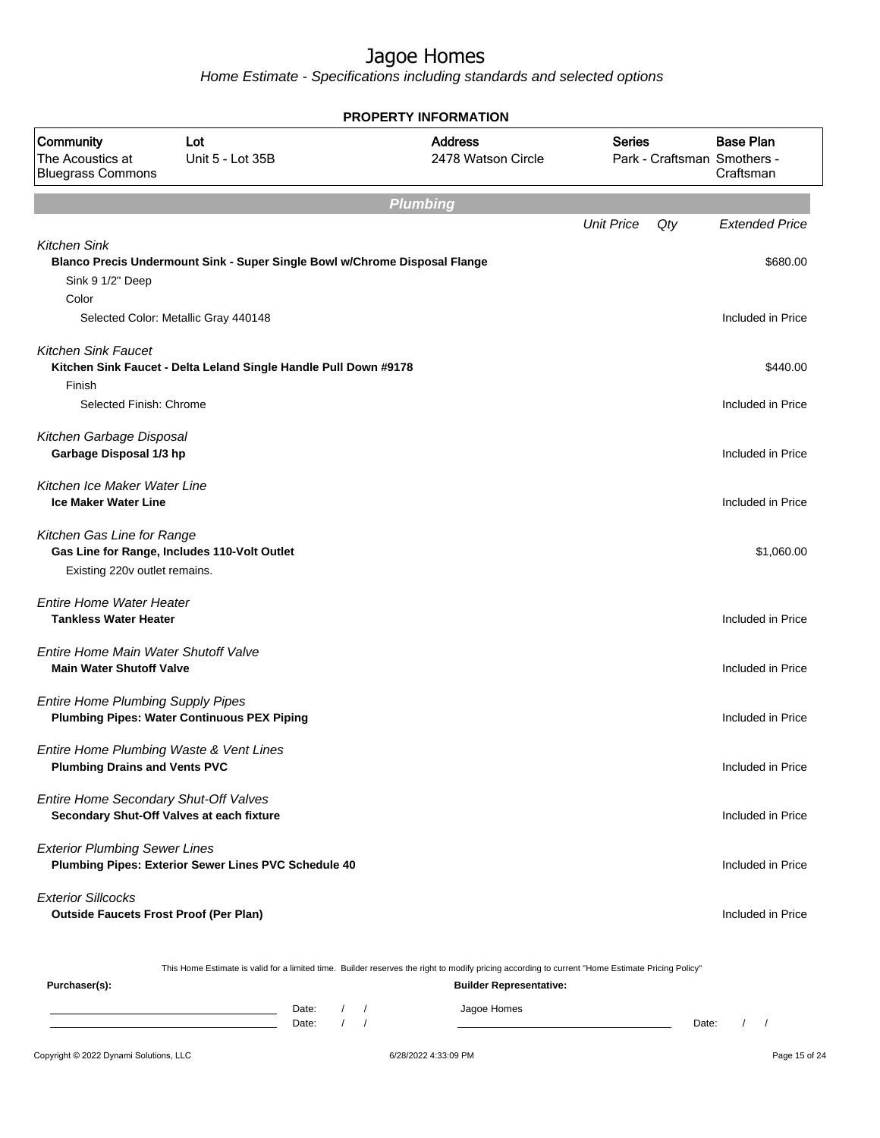Home Estimate - Specifications including standards and selected options

|                                                                                    |                                                                            | <b>PROPERTY INFORMATION</b>                                                                                                                      |                   |     |                                                              |
|------------------------------------------------------------------------------------|----------------------------------------------------------------------------|--------------------------------------------------------------------------------------------------------------------------------------------------|-------------------|-----|--------------------------------------------------------------|
| Community<br>The Acoustics at<br><b>Bluegrass Commons</b>                          | Lot<br>Unit 5 - Lot 35B                                                    | <b>Address</b><br>2478 Watson Circle                                                                                                             | <b>Series</b>     |     | <b>Base Plan</b><br>Park - Craftsman Smothers -<br>Craftsman |
|                                                                                    |                                                                            | <b>Plumbing</b>                                                                                                                                  |                   |     |                                                              |
|                                                                                    |                                                                            |                                                                                                                                                  | <b>Unit Price</b> | Qty | <b>Extended Price</b>                                        |
| <b>Kitchen Sink</b><br>Sink 9 1/2" Deep<br>Color                                   | Blanco Precis Undermount Sink - Super Single Bowl w/Chrome Disposal Flange |                                                                                                                                                  |                   |     | \$680.00                                                     |
|                                                                                    | Selected Color: Metallic Gray 440148                                       |                                                                                                                                                  |                   |     | Included in Price                                            |
| <b>Kitchen Sink Faucet</b><br>Finish                                               | Kitchen Sink Faucet - Delta Leland Single Handle Pull Down #9178           |                                                                                                                                                  |                   |     | \$440.00                                                     |
| Selected Finish: Chrome                                                            |                                                                            |                                                                                                                                                  |                   |     | Included in Price                                            |
| Kitchen Garbage Disposal<br>Garbage Disposal 1/3 hp                                |                                                                            |                                                                                                                                                  |                   |     | Included in Price                                            |
| Kitchen Ice Maker Water Line<br><b>Ice Maker Water Line</b>                        |                                                                            |                                                                                                                                                  |                   |     | Included in Price                                            |
| Kitchen Gas Line for Range<br>Existing 220v outlet remains.                        | Gas Line for Range, Includes 110-Volt Outlet                               |                                                                                                                                                  |                   |     | \$1,060.00                                                   |
| <b>Entire Home Water Heater</b><br><b>Tankless Water Heater</b>                    |                                                                            |                                                                                                                                                  |                   |     | Included in Price                                            |
| Entire Home Main Water Shutoff Valve<br><b>Main Water Shutoff Valve</b>            |                                                                            |                                                                                                                                                  |                   |     | Included in Price                                            |
| <b>Entire Home Plumbing Supply Pipes</b>                                           | <b>Plumbing Pipes: Water Continuous PEX Piping</b>                         |                                                                                                                                                  |                   |     | Included in Price                                            |
| Entire Home Plumbing Waste & Vent Lines<br><b>Plumbing Drains and Vents PVC</b>    |                                                                            |                                                                                                                                                  |                   |     | Included in Price                                            |
| Entire Home Secondary Shut-Off Valves<br>Secondary Shut-Off Valves at each fixture |                                                                            |                                                                                                                                                  |                   |     | Included in Price                                            |
| <b>Exterior Plumbing Sewer Lines</b>                                               | Plumbing Pipes: Exterior Sewer Lines PVC Schedule 40                       |                                                                                                                                                  |                   |     | Included in Price                                            |
| <b>Exterior Sillcocks</b><br><b>Outside Faucets Frost Proof (Per Plan)</b>         |                                                                            |                                                                                                                                                  |                   |     | Included in Price                                            |
|                                                                                    |                                                                            | This Home Estimate is valid for a limited time. Builder reserves the right to modify pricing according to current "Home Estimate Pricing Policy" |                   |     |                                                              |

**Purchaser(s): Builder Representative:** Date: / / Jagoe Homes<br>Date: / / Jagoe Homes Date: / / Date: / /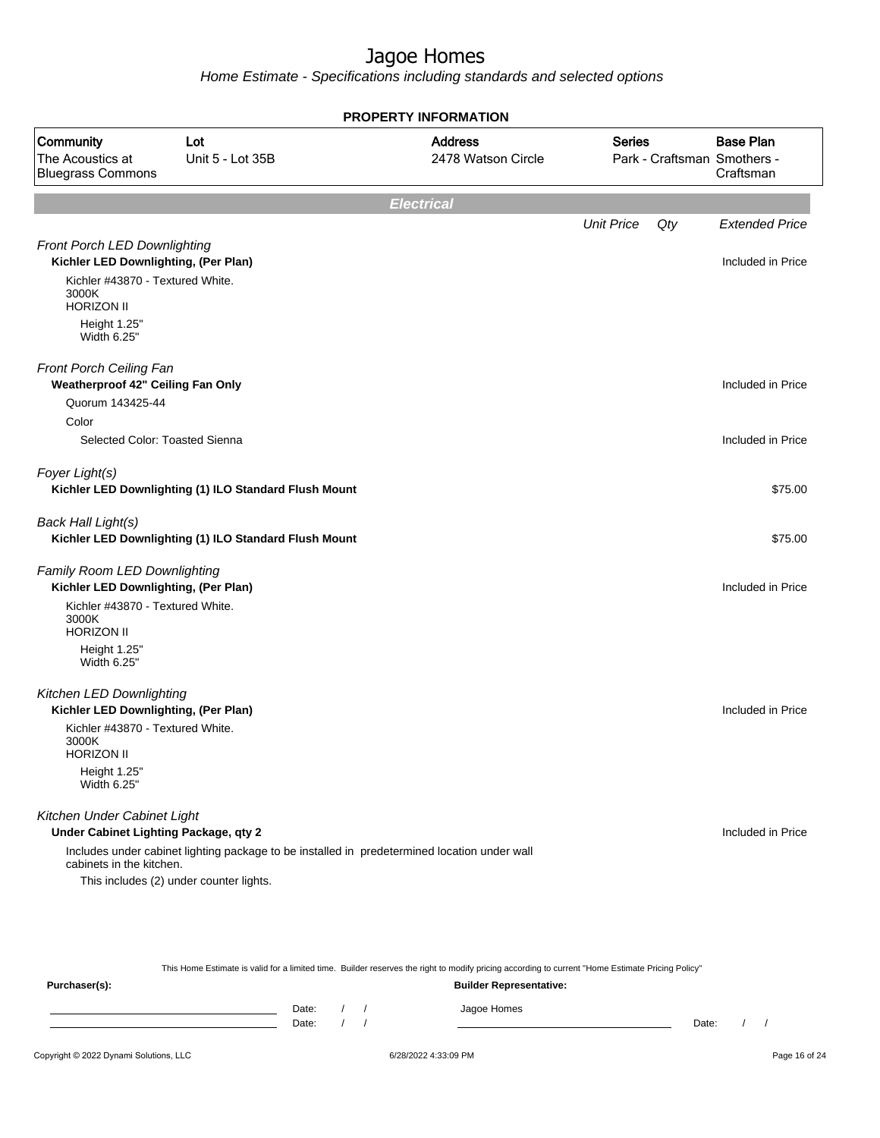Home Estimate - Specifications including standards and selected options

|                                                                      | <b>PROPERTY INFORMATION</b>                           |                                                                                              |                   |     |                                                              |  |  |  |  |
|----------------------------------------------------------------------|-------------------------------------------------------|----------------------------------------------------------------------------------------------|-------------------|-----|--------------------------------------------------------------|--|--|--|--|
| Community<br>The Acoustics at<br><b>Bluegrass Commons</b>            | Lot<br>Unit 5 - Lot 35B                               | <b>Address</b><br>2478 Watson Circle                                                         | <b>Series</b>     |     | <b>Base Plan</b><br>Park - Craftsman Smothers -<br>Craftsman |  |  |  |  |
|                                                                      |                                                       | <b>Electrical</b>                                                                            |                   |     |                                                              |  |  |  |  |
|                                                                      |                                                       |                                                                                              | <b>Unit Price</b> | Qty | <b>Extended Price</b>                                        |  |  |  |  |
| Front Porch LED Downlighting                                         |                                                       |                                                                                              |                   |     |                                                              |  |  |  |  |
| Kichler LED Downlighting, (Per Plan)                                 |                                                       |                                                                                              |                   |     | Included in Price                                            |  |  |  |  |
| Kichler #43870 - Textured White.<br>3000K<br><b>HORIZON II</b>       |                                                       |                                                                                              |                   |     |                                                              |  |  |  |  |
| Height 1.25"<br>Width 6.25"                                          |                                                       |                                                                                              |                   |     |                                                              |  |  |  |  |
| Front Porch Ceiling Fan<br>Weatherproof 42" Ceiling Fan Only         |                                                       |                                                                                              |                   |     | Included in Price                                            |  |  |  |  |
| Quorum 143425-44                                                     |                                                       |                                                                                              |                   |     |                                                              |  |  |  |  |
| Color                                                                |                                                       |                                                                                              |                   |     |                                                              |  |  |  |  |
| Selected Color: Toasted Sienna                                       |                                                       |                                                                                              |                   |     | Included in Price                                            |  |  |  |  |
| Foyer Light(s)                                                       | Kichler LED Downlighting (1) ILO Standard Flush Mount |                                                                                              |                   |     | \$75.00                                                      |  |  |  |  |
| Back Hall Light(s)                                                   | Kichler LED Downlighting (1) ILO Standard Flush Mount |                                                                                              |                   |     | \$75.00                                                      |  |  |  |  |
| Family Room LED Downlighting<br>Kichler LED Downlighting, (Per Plan) |                                                       |                                                                                              |                   |     | Included in Price                                            |  |  |  |  |
| Kichler #43870 - Textured White.<br>3000K<br><b>HORIZON II</b>       |                                                       |                                                                                              |                   |     |                                                              |  |  |  |  |
| Height 1.25"<br>Width 6.25"                                          |                                                       |                                                                                              |                   |     |                                                              |  |  |  |  |
| Kitchen LED Downlighting<br>Kichler LED Downlighting, (Per Plan)     |                                                       |                                                                                              |                   |     | Included in Price                                            |  |  |  |  |
| Kichler #43870 - Textured White.<br>3000K<br><b>HORIZON II</b>       |                                                       |                                                                                              |                   |     |                                                              |  |  |  |  |
| Height 1.25"<br>Width 6.25"                                          |                                                       |                                                                                              |                   |     |                                                              |  |  |  |  |
| Kitchen Under Cabinet Light<br>Under Cabinet Lighting Package, qty 2 |                                                       |                                                                                              |                   |     | Included in Price                                            |  |  |  |  |
| cabinets in the kitchen.                                             |                                                       | Includes under cabinet lighting package to be installed in predetermined location under wall |                   |     |                                                              |  |  |  |  |
|                                                                      | This includes (2) under counter lights.               |                                                                                              |                   |     |                                                              |  |  |  |  |
|                                                                      |                                                       |                                                                                              |                   |     |                                                              |  |  |  |  |
|                                                                      |                                                       |                                                                                              |                   |     |                                                              |  |  |  |  |
|                                                                      |                                                       |                                                                                              |                   |     |                                                              |  |  |  |  |

This Home Estimate is valid for a limited time. Builder reserves the right to modify pricing according to current "Home Estimate Pricing Policy"

| Purchaser(s): |                  |  | <b>Builder Representative:</b> |       |  |
|---------------|------------------|--|--------------------------------|-------|--|
|               | Date: /<br>Date: |  | Jagoe Homes                    | Date: |  |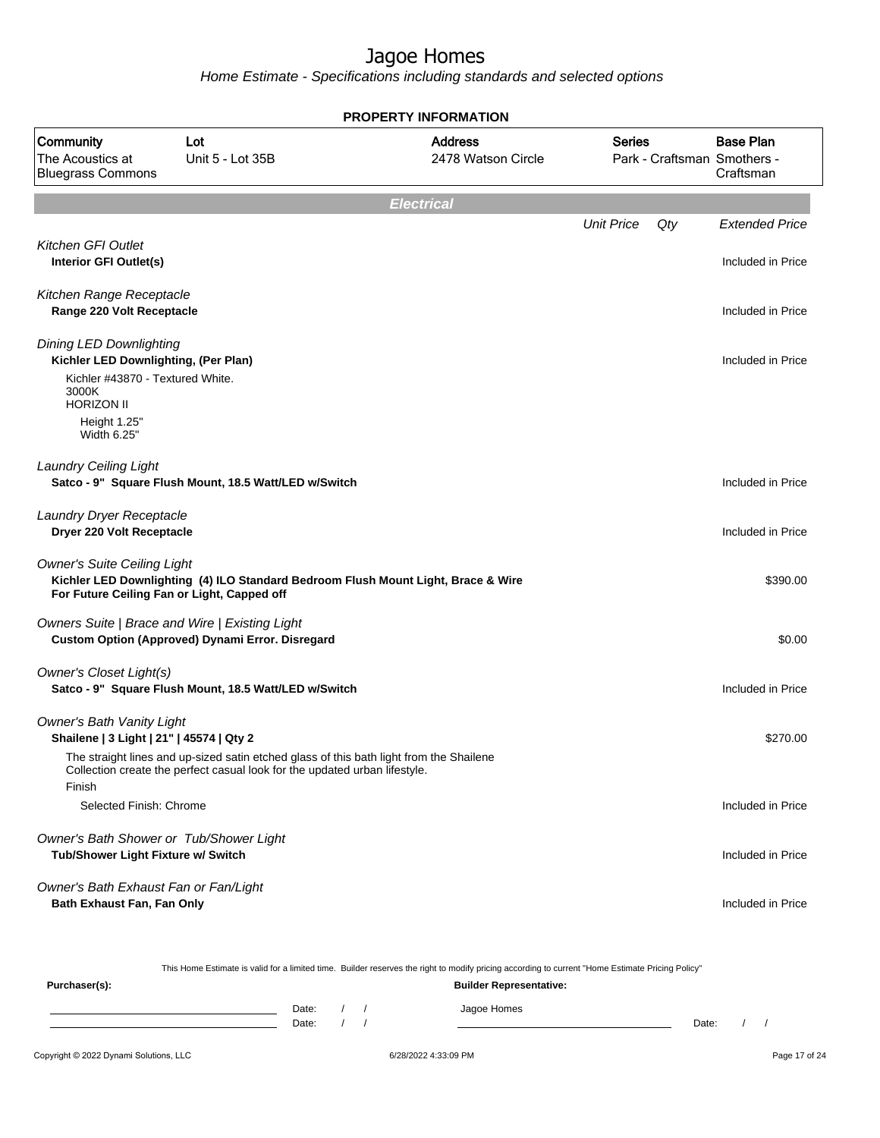Home Estimate - Specifications including standards and selected options

|                                                                                               |                                                                                         | <b>PROPERTY INFORMATION</b>                                                       |                   |     |                                                              |
|-----------------------------------------------------------------------------------------------|-----------------------------------------------------------------------------------------|-----------------------------------------------------------------------------------|-------------------|-----|--------------------------------------------------------------|
| Community<br>The Acoustics at<br><b>Bluegrass Commons</b>                                     | Lot<br>Unit 5 - Lot 35B                                                                 | <b>Address</b><br>2478 Watson Circle                                              | <b>Series</b>     |     | <b>Base Plan</b><br>Park - Craftsman Smothers -<br>Craftsman |
|                                                                                               |                                                                                         | <b>Electrical</b>                                                                 |                   |     |                                                              |
|                                                                                               |                                                                                         |                                                                                   | <b>Unit Price</b> | Qty | <b>Extended Price</b>                                        |
| <b>Kitchen GFI Outlet</b><br>Interior GFI Outlet(s)                                           |                                                                                         |                                                                                   |                   |     | Included in Price                                            |
| Kitchen Range Receptacle<br>Range 220 Volt Receptacle                                         |                                                                                         |                                                                                   |                   |     | Included in Price                                            |
| <b>Dining LED Downlighting</b><br>Kichler LED Downlighting, (Per Plan)                        |                                                                                         |                                                                                   |                   |     | Included in Price                                            |
| Kichler #43870 - Textured White.<br>3000K<br><b>HORIZON II</b><br>Height 1.25"<br>Width 6.25" |                                                                                         |                                                                                   |                   |     |                                                              |
| <b>Laundry Ceiling Light</b>                                                                  | Satco - 9" Square Flush Mount, 18.5 Watt/LED w/Switch                                   |                                                                                   |                   |     | Included in Price                                            |
| Laundry Dryer Receptacle<br>Dryer 220 Volt Receptacle                                         |                                                                                         |                                                                                   |                   |     | Included in Price                                            |
| <b>Owner's Suite Ceiling Light</b><br>For Future Ceiling Fan or Light, Capped off             |                                                                                         | Kichler LED Downlighting (4) ILO Standard Bedroom Flush Mount Light, Brace & Wire |                   |     | \$390.00                                                     |
| Owners Suite   Brace and Wire   Existing Light                                                | <b>Custom Option (Approved) Dynami Error. Disregard</b>                                 |                                                                                   |                   |     | \$0.00                                                       |
| Owner's Closet Light(s)                                                                       | Satco - 9" Square Flush Mount, 18.5 Watt/LED w/Switch                                   |                                                                                   |                   |     | Included in Price                                            |
| <b>Owner's Bath Vanity Light</b><br>Shailene   3 Light   21"   45574   Qty 2                  | The straight lines and up-sized satin etched glass of this bath light from the Shailene |                                                                                   |                   |     | \$270.00                                                     |
| Finish                                                                                        | Collection create the perfect casual look for the updated urban lifestyle.              |                                                                                   |                   |     |                                                              |
| Selected Finish: Chrome                                                                       |                                                                                         |                                                                                   |                   |     | Included in Price                                            |
| Owner's Bath Shower or Tub/Shower Light<br>Tub/Shower Light Fixture w/ Switch                 |                                                                                         |                                                                                   |                   |     | Included in Price                                            |
| Owner's Bath Exhaust Fan or Fan/Light<br>Bath Exhaust Fan, Fan Only                           |                                                                                         |                                                                                   |                   |     | Included in Price                                            |

This Home Estimate is valid for a limited time. Builder reserves the right to modify pricing according to current "Home Estimate Pricing Policy"

| Purchaser(s): |                |  | <b>Builder Representative:</b> |       |  |
|---------------|----------------|--|--------------------------------|-------|--|
|               | Date:<br>Date: |  | Jagoe Homes                    | Date: |  |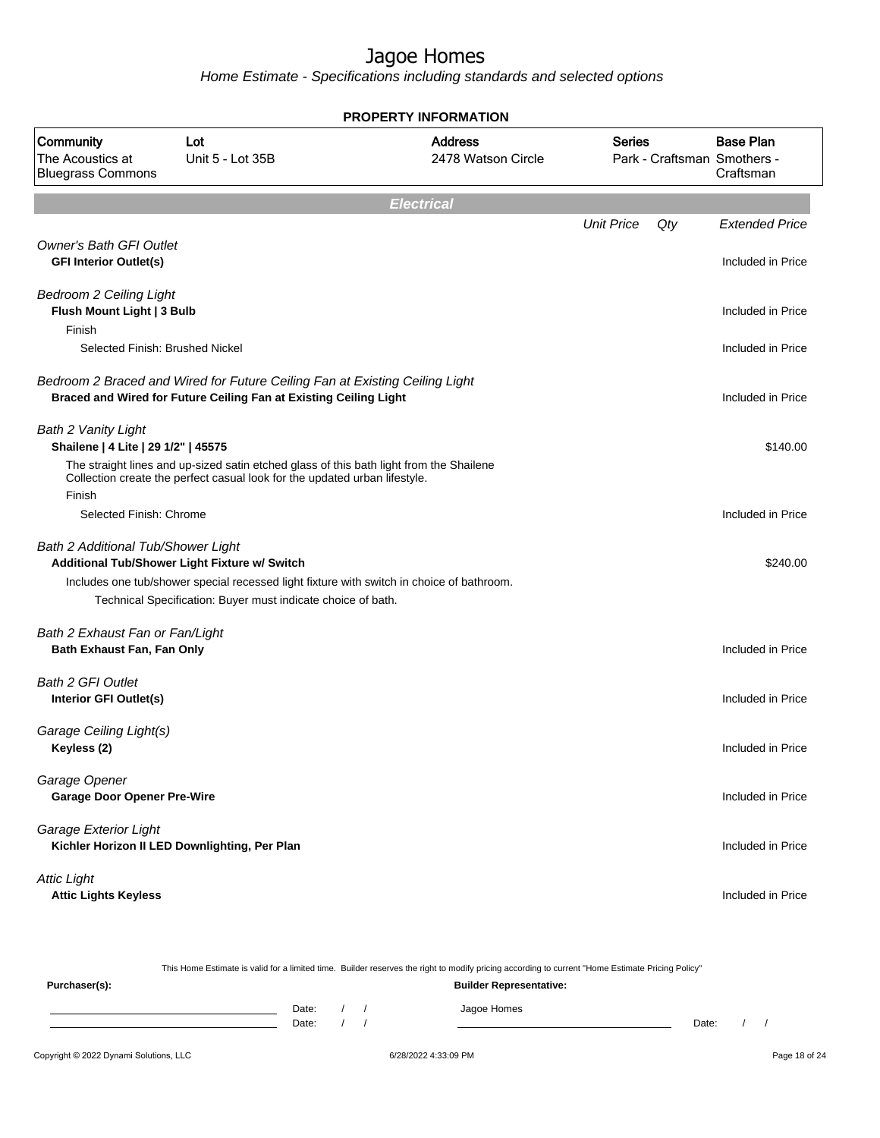Home Estimate - Specifications including standards and selected options

|                                                                        |                                                                                                                                                                       | <b>PROPERTY INFORMATION</b>                                                               |                   |     |                                                              |
|------------------------------------------------------------------------|-----------------------------------------------------------------------------------------------------------------------------------------------------------------------|-------------------------------------------------------------------------------------------|-------------------|-----|--------------------------------------------------------------|
| Community<br>The Acoustics at<br><b>Bluegrass Commons</b>              | Lot<br>Unit 5 - Lot 35B                                                                                                                                               | <b>Address</b><br>2478 Watson Circle                                                      | <b>Series</b>     |     | <b>Base Plan</b><br>Park - Craftsman Smothers -<br>Craftsman |
|                                                                        |                                                                                                                                                                       | <b>Electrical</b>                                                                         |                   |     |                                                              |
|                                                                        |                                                                                                                                                                       |                                                                                           | <b>Unit Price</b> | Qty | <b>Extended Price</b>                                        |
| <b>Owner's Bath GFI Outlet</b><br><b>GFI Interior Outlet(s)</b>        |                                                                                                                                                                       |                                                                                           |                   |     | Included in Price                                            |
| <b>Bedroom 2 Ceiling Light</b><br>Flush Mount Light   3 Bulb<br>Finish |                                                                                                                                                                       |                                                                                           |                   |     | Included in Price                                            |
| Selected Finish: Brushed Nickel                                        |                                                                                                                                                                       |                                                                                           |                   |     | Included in Price                                            |
|                                                                        | Bedroom 2 Braced and Wired for Future Ceiling Fan at Existing Ceiling Light<br>Braced and Wired for Future Ceiling Fan at Existing Ceiling Light                      |                                                                                           |                   |     | Included in Price                                            |
| <b>Bath 2 Vanity Light</b><br>Shailene   4 Lite   29 1/2"   45575      |                                                                                                                                                                       |                                                                                           |                   |     | \$140.00                                                     |
| Finish                                                                 | The straight lines and up-sized satin etched glass of this bath light from the Shailene<br>Collection create the perfect casual look for the updated urban lifestyle. |                                                                                           |                   |     |                                                              |
| Selected Finish: Chrome                                                |                                                                                                                                                                       |                                                                                           |                   |     | Included in Price                                            |
| <b>Bath 2 Additional Tub/Shower Light</b>                              | Additional Tub/Shower Light Fixture w/ Switch                                                                                                                         |                                                                                           |                   |     | \$240.00                                                     |
|                                                                        |                                                                                                                                                                       | Includes one tub/shower special recessed light fixture with switch in choice of bathroom. |                   |     |                                                              |
|                                                                        | Technical Specification: Buyer must indicate choice of bath.                                                                                                          |                                                                                           |                   |     |                                                              |
| Bath 2 Exhaust Fan or Fan/Light<br>Bath Exhaust Fan, Fan Only          |                                                                                                                                                                       |                                                                                           |                   |     | Included in Price                                            |
| <b>Bath 2 GFI Outlet</b><br>Interior GFI Outlet(s)                     |                                                                                                                                                                       |                                                                                           |                   |     | Included in Price                                            |
| Garage Ceiling Light(s)<br>Keyless (2)                                 |                                                                                                                                                                       |                                                                                           |                   |     | Included in Price                                            |
| Garage Opener<br><b>Garage Door Opener Pre-Wire</b>                    |                                                                                                                                                                       |                                                                                           |                   |     | Included in Price                                            |
| Garage Exterior Light                                                  | Kichler Horizon II LED Downlighting, Per Plan                                                                                                                         |                                                                                           |                   |     | Included in Price                                            |
| <b>Attic Light</b><br><b>Attic Lights Keyless</b>                      |                                                                                                                                                                       |                                                                                           |                   |     | Included in Price                                            |
|                                                                        |                                                                                                                                                                       |                                                                                           |                   |     |                                                              |

This Home Estimate is valid for a limited time. Builder reserves the right to modify pricing according to current "Home Estimate Pricing Policy"

**Purchaser(s): Builder Representative:** Date: / / Jagoe Homes<br>Date: / / Jagoe Homes Date: / / Date: / /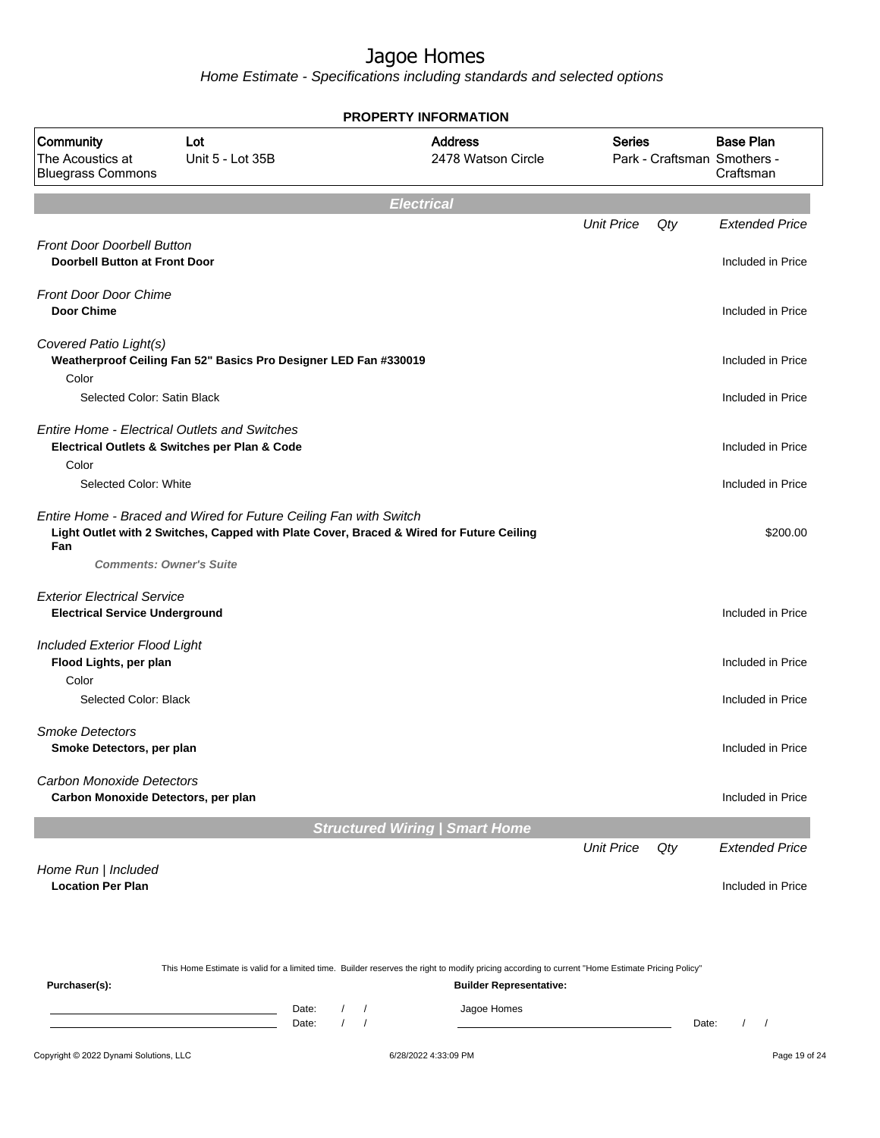Home Estimate - Specifications including standards and selected options

|                                                                             |                                                                                                       | <b>PROPERTY INFORMATION</b>                                                                                                                      |                   |     |                                                              |
|-----------------------------------------------------------------------------|-------------------------------------------------------------------------------------------------------|--------------------------------------------------------------------------------------------------------------------------------------------------|-------------------|-----|--------------------------------------------------------------|
| Community<br>The Acoustics at<br><b>Bluegrass Commons</b>                   | Lot<br>Unit 5 - Lot 35B                                                                               | <b>Address</b><br>2478 Watson Circle                                                                                                             | <b>Series</b>     |     | <b>Base Plan</b><br>Park - Craftsman Smothers -<br>Craftsman |
|                                                                             |                                                                                                       | <b>Electrical</b>                                                                                                                                |                   |     |                                                              |
|                                                                             |                                                                                                       |                                                                                                                                                  | <b>Unit Price</b> | Qty | <b>Extended Price</b>                                        |
| <b>Front Door Doorbell Button</b><br><b>Doorbell Button at Front Door</b>   |                                                                                                       |                                                                                                                                                  |                   |     | Included in Price                                            |
| <b>Front Door Door Chime</b><br><b>Door Chime</b>                           |                                                                                                       |                                                                                                                                                  |                   |     | Included in Price                                            |
| Covered Patio Light(s)                                                      | Weatherproof Ceiling Fan 52" Basics Pro Designer LED Fan #330019                                      |                                                                                                                                                  |                   |     | Included in Price                                            |
| Color<br>Selected Color: Satin Black                                        |                                                                                                       |                                                                                                                                                  |                   |     | Included in Price                                            |
| Color                                                                       | <b>Entire Home - Electrical Outlets and Switches</b><br>Electrical Outlets & Switches per Plan & Code |                                                                                                                                                  |                   |     | Included in Price                                            |
| Selected Color: White                                                       |                                                                                                       |                                                                                                                                                  |                   |     | Included in Price                                            |
| Fan                                                                         | Entire Home - Braced and Wired for Future Ceiling Fan with Switch<br><b>Comments: Owner's Suite</b>   | Light Outlet with 2 Switches, Capped with Plate Cover, Braced & Wired for Future Ceiling                                                         |                   |     | \$200.00                                                     |
| <b>Exterior Electrical Service</b><br><b>Electrical Service Underground</b> |                                                                                                       |                                                                                                                                                  |                   |     | Included in Price                                            |
| Included Exterior Flood Light<br>Flood Lights, per plan                     |                                                                                                       |                                                                                                                                                  |                   |     | Included in Price                                            |
| Color<br>Selected Color: Black                                              |                                                                                                       |                                                                                                                                                  |                   |     | Included in Price                                            |
| <b>Smoke Detectors</b><br>Smoke Detectors, per plan                         |                                                                                                       |                                                                                                                                                  |                   |     | Included in Price                                            |
| Carbon Monoxide Detectors<br>Carbon Monoxide Detectors, per plan            |                                                                                                       |                                                                                                                                                  |                   |     | Included in Price                                            |
|                                                                             |                                                                                                       | <b>Structured Wiring   Smart Home</b>                                                                                                            |                   |     |                                                              |
|                                                                             |                                                                                                       |                                                                                                                                                  | <b>Unit Price</b> | Qty | <b>Extended Price</b>                                        |
| Home Run   Included<br><b>Location Per Plan</b>                             |                                                                                                       |                                                                                                                                                  |                   |     | Included in Price                                            |
|                                                                             |                                                                                                       |                                                                                                                                                  |                   |     |                                                              |
|                                                                             |                                                                                                       | This Home Estimate is valid for a limited time. Builder reserves the right to modify pricing according to current "Home Estimate Pricing Policy" |                   |     |                                                              |
| Purchaser(s):                                                               |                                                                                                       | <b>Builder Representative:</b>                                                                                                                   |                   |     |                                                              |

#### Date: / / Jagoe Homes<br>Date: / / Jagoe Homes Date: / / Date: / /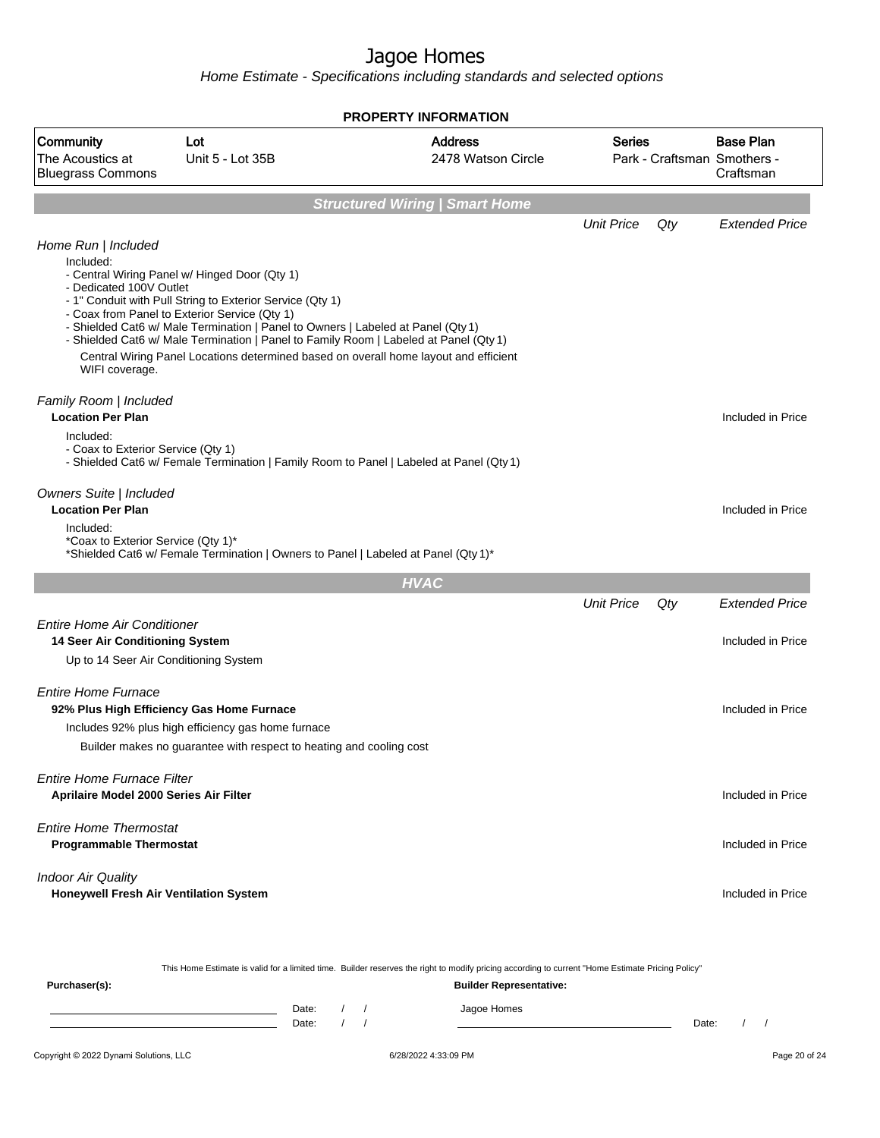Home Estimate - Specifications including standards and selected options

|                                                                                                                |                                                                                                                                                                                                                                                                                                                                                                                                                                  | <b>PROPERTY INFORMATION</b>           |                   |     |                                                              |
|----------------------------------------------------------------------------------------------------------------|----------------------------------------------------------------------------------------------------------------------------------------------------------------------------------------------------------------------------------------------------------------------------------------------------------------------------------------------------------------------------------------------------------------------------------|---------------------------------------|-------------------|-----|--------------------------------------------------------------|
| Community<br>The Acoustics at<br><b>Bluegrass Commons</b>                                                      | Lot<br>Unit 5 - Lot 35B                                                                                                                                                                                                                                                                                                                                                                                                          | <b>Address</b><br>2478 Watson Circle  | <b>Series</b>     |     | <b>Base Plan</b><br>Park - Craftsman Smothers -<br>Craftsman |
|                                                                                                                |                                                                                                                                                                                                                                                                                                                                                                                                                                  | <b>Structured Wiring   Smart Home</b> |                   |     |                                                              |
|                                                                                                                |                                                                                                                                                                                                                                                                                                                                                                                                                                  |                                       | <b>Unit Price</b> | Qty | <b>Extended Price</b>                                        |
| Home Run   Included<br>Included:<br>- Dedicated 100V Outlet<br>WIFI coverage.                                  | - Central Wiring Panel w/ Hinged Door (Qty 1)<br>- 1" Conduit with Pull String to Exterior Service (Qty 1)<br>- Coax from Panel to Exterior Service (Qty 1)<br>- Shielded Cat6 w/ Male Termination   Panel to Owners   Labeled at Panel (Qty 1)<br>- Shielded Cat6 w/ Male Termination   Panel to Family Room   Labeled at Panel (Qty 1)<br>Central Wiring Panel Locations determined based on overall home layout and efficient |                                       |                   |     |                                                              |
| Family Room   Included<br><b>Location Per Plan</b><br>Included:<br>- Coax to Exterior Service (Qty 1)          | - Shielded Cat6 w/ Female Termination   Family Room to Panel   Labeled at Panel (Qty 1)                                                                                                                                                                                                                                                                                                                                          |                                       |                   |     | Included in Price                                            |
| <b>Owners Suite   Included</b><br><b>Location Per Plan</b><br>Included:<br>*Coax to Exterior Service (Qty 1)*  | *Shielded Cat6 w/ Female Termination   Owners to Panel   Labeled at Panel (Qty 1)*                                                                                                                                                                                                                                                                                                                                               |                                       |                   |     | Included in Price                                            |
|                                                                                                                |                                                                                                                                                                                                                                                                                                                                                                                                                                  | <b>HVAC</b>                           |                   |     |                                                              |
|                                                                                                                |                                                                                                                                                                                                                                                                                                                                                                                                                                  |                                       | <b>Unit Price</b> | Qty | <b>Extended Price</b>                                        |
| <b>Entire Home Air Conditioner</b><br>14 Seer Air Conditioning System<br>Up to 14 Seer Air Conditioning System |                                                                                                                                                                                                                                                                                                                                                                                                                                  |                                       |                   |     | Included in Price                                            |
| <b>Entire Home Furnace</b>                                                                                     | 92% Plus High Efficiency Gas Home Furnace<br>Includes 92% plus high efficiency gas home furnace<br>Builder makes no guarantee with respect to heating and cooling cost                                                                                                                                                                                                                                                           |                                       |                   |     | Included in Price                                            |
| Entire Home Furnace Filter<br>Aprilaire Model 2000 Series Air Filter                                           |                                                                                                                                                                                                                                                                                                                                                                                                                                  |                                       |                   |     | Included in Price                                            |
| <b>Entire Home Thermostat</b><br><b>Programmable Thermostat</b>                                                |                                                                                                                                                                                                                                                                                                                                                                                                                                  |                                       |                   |     | Included in Price                                            |
| <b>Indoor Air Quality</b><br>Honeywell Fresh Air Ventilation System                                            |                                                                                                                                                                                                                                                                                                                                                                                                                                  |                                       |                   |     | Included in Price                                            |
|                                                                                                                |                                                                                                                                                                                                                                                                                                                                                                                                                                  |                                       |                   |     |                                                              |

This Home Estimate is valid for a limited time. Builder reserves the right to modify pricing according to current "Home Estimate Pricing Policy" **Purchaser(s): Builder Representative:**

| $\cdots$ and $\cdots$ |       |  | <b>DUNGE INPRODUCTION</b> |       |  |  |
|-----------------------|-------|--|---------------------------|-------|--|--|
|                       | Date: |  | Jagoe Homes               |       |  |  |
|                       | Date: |  |                           | Date: |  |  |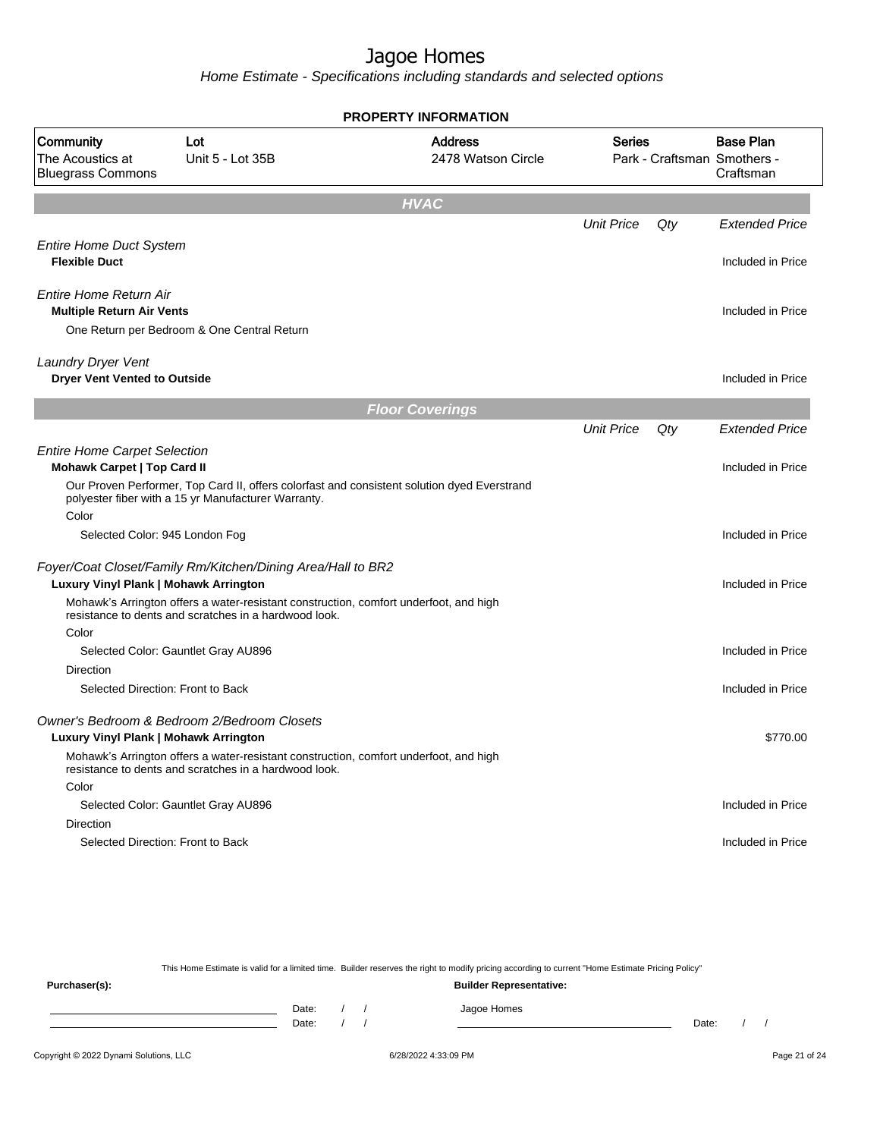Home Estimate - Specifications including standards and selected options

|                                                                    |                                                                                                                                                    | <b>PROPERTY INFORMATION</b>          |                   |     |                                                              |
|--------------------------------------------------------------------|----------------------------------------------------------------------------------------------------------------------------------------------------|--------------------------------------|-------------------|-----|--------------------------------------------------------------|
| Community<br>The Acoustics at<br><b>Bluegrass Commons</b>          | Lot<br>Unit 5 - Lot 35B                                                                                                                            | <b>Address</b><br>2478 Watson Circle | <b>Series</b>     |     | <b>Base Plan</b><br>Park - Craftsman Smothers -<br>Craftsman |
|                                                                    |                                                                                                                                                    | <b>HVAC</b>                          |                   |     |                                                              |
|                                                                    |                                                                                                                                                    |                                      | <b>Unit Price</b> | Qty | <b>Extended Price</b>                                        |
| <b>Entire Home Duct System</b><br><b>Flexible Duct</b>             |                                                                                                                                                    |                                      |                   |     | Included in Price                                            |
| Entire Home Return Air<br><b>Multiple Return Air Vents</b>         |                                                                                                                                                    |                                      |                   |     | Included in Price                                            |
|                                                                    | One Return per Bedroom & One Central Return                                                                                                        |                                      |                   |     |                                                              |
| Laundry Dryer Vent<br><b>Dryer Vent Vented to Outside</b>          |                                                                                                                                                    |                                      |                   |     | Included in Price                                            |
|                                                                    |                                                                                                                                                    | <b>Floor Coverings</b>               |                   |     |                                                              |
|                                                                    |                                                                                                                                                    |                                      | <b>Unit Price</b> | Qty | <b>Extended Price</b>                                        |
| <b>Entire Home Carpet Selection</b><br>Mohawk Carpet   Top Card II |                                                                                                                                                    |                                      |                   |     | Included in Price                                            |
|                                                                    | Our Proven Performer, Top Card II, offers colorfast and consistent solution dyed Everstrand<br>polyester fiber with a 15 yr Manufacturer Warranty. |                                      |                   |     |                                                              |
| Color                                                              |                                                                                                                                                    |                                      |                   |     | Included in Price                                            |
|                                                                    | Selected Color: 945 London Fog                                                                                                                     |                                      |                   |     |                                                              |
| Luxury Vinyl Plank   Mohawk Arrington                              | Foyer/Coat Closet/Family Rm/Kitchen/Dining Area/Hall to BR2                                                                                        |                                      |                   |     | Included in Price                                            |
|                                                                    | Mohawk's Arrington offers a water-resistant construction, comfort underfoot, and high<br>resistance to dents and scratches in a hardwood look.     |                                      |                   |     |                                                              |
| Color                                                              | Selected Color: Gauntlet Gray AU896                                                                                                                |                                      |                   |     | Included in Price                                            |
| <b>Direction</b>                                                   | Selected Direction: Front to Back                                                                                                                  |                                      |                   |     | Included in Price                                            |
| Luxury Vinyl Plank   Mohawk Arrington                              | Owner's Bedroom & Bedroom 2/Bedroom Closets                                                                                                        |                                      |                   |     | \$770.00                                                     |
|                                                                    | Mohawk's Arrington offers a water-resistant construction, comfort underfoot, and high<br>resistance to dents and scratches in a hardwood look.     |                                      |                   |     |                                                              |
| Color                                                              |                                                                                                                                                    |                                      |                   |     |                                                              |
|                                                                    | Selected Color: Gauntlet Gray AU896                                                                                                                |                                      |                   |     | Included in Price                                            |
| <b>Direction</b>                                                   |                                                                                                                                                    |                                      |                   |     |                                                              |
|                                                                    | Selected Direction: Front to Back                                                                                                                  |                                      |                   |     | Included in Price                                            |
|                                                                    |                                                                                                                                                    |                                      |                   |     |                                                              |

This Home Estimate is valid for a limited time. Builder reserves the right to modify pricing according to current "Home Estimate Pricing Policy"

**Purchaser(s): Builder Representative:** Date: / / Jagoe Homes<br>Date: / / Jagoe Homes Date: / / Date: / /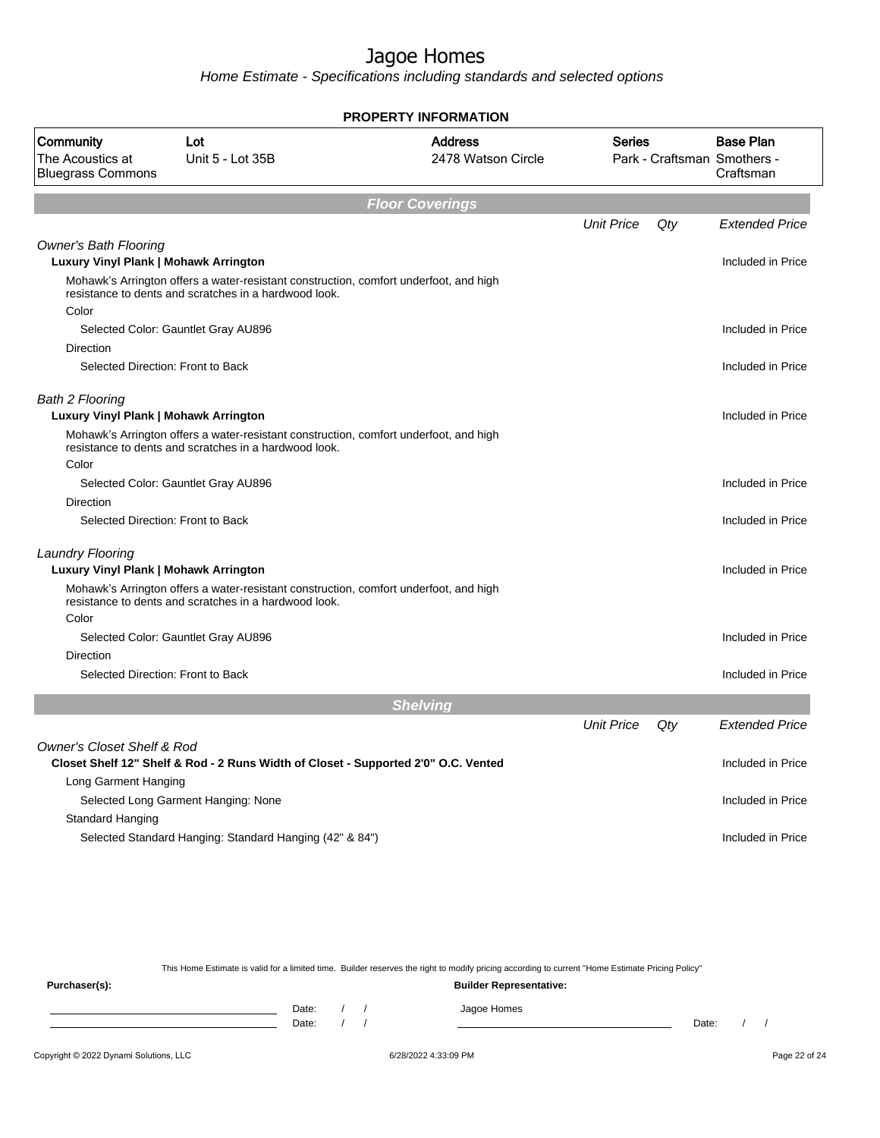Home Estimate - Specifications including standards and selected options

|                                                                       |                                                                                                                                                | <b>PROPERTY INFORMATION</b>          |                   |     |                                                              |
|-----------------------------------------------------------------------|------------------------------------------------------------------------------------------------------------------------------------------------|--------------------------------------|-------------------|-----|--------------------------------------------------------------|
| Community<br>The Acoustics at<br><b>Bluegrass Commons</b>             | Lot<br>Unit 5 - Lot 35B                                                                                                                        | <b>Address</b><br>2478 Watson Circle | <b>Series</b>     |     | <b>Base Plan</b><br>Park - Craftsman Smothers -<br>Craftsman |
|                                                                       |                                                                                                                                                | <b>Floor Coverings</b>               |                   |     |                                                              |
|                                                                       |                                                                                                                                                |                                      | <b>Unit Price</b> | Qty | <b>Extended Price</b>                                        |
| <b>Owner's Bath Flooring</b><br>Luxury Vinyl Plank   Mohawk Arrington |                                                                                                                                                |                                      |                   |     | Included in Price                                            |
| Color                                                                 | Mohawk's Arrington offers a water-resistant construction, comfort underfoot, and high<br>resistance to dents and scratches in a hardwood look. |                                      |                   |     |                                                              |
|                                                                       | Selected Color: Gauntlet Gray AU896                                                                                                            |                                      |                   |     | Included in Price                                            |
| Direction                                                             |                                                                                                                                                |                                      |                   |     |                                                              |
|                                                                       | Selected Direction: Front to Back                                                                                                              |                                      |                   |     | Included in Price                                            |
| <b>Bath 2 Flooring</b><br>Luxury Vinyl Plank   Mohawk Arrington       |                                                                                                                                                |                                      |                   |     | Included in Price                                            |
|                                                                       | Mohawk's Arrington offers a water-resistant construction, comfort underfoot, and high<br>resistance to dents and scratches in a hardwood look. |                                      |                   |     |                                                              |
| Color                                                                 |                                                                                                                                                |                                      |                   |     |                                                              |
|                                                                       | Selected Color: Gauntlet Gray AU896                                                                                                            |                                      |                   |     | Included in Price                                            |
| <b>Direction</b>                                                      |                                                                                                                                                |                                      |                   |     |                                                              |
|                                                                       | Selected Direction: Front to Back                                                                                                              |                                      |                   |     | Included in Price                                            |
| <b>Laundry Flooring</b><br>Luxury Vinyl Plank   Mohawk Arrington      |                                                                                                                                                |                                      |                   |     | Included in Price                                            |
|                                                                       | Mohawk's Arrington offers a water-resistant construction, comfort underfoot, and high<br>resistance to dents and scratches in a hardwood look. |                                      |                   |     |                                                              |
| Color                                                                 |                                                                                                                                                |                                      |                   |     |                                                              |
|                                                                       | Selected Color: Gauntlet Gray AU896                                                                                                            |                                      |                   |     | Included in Price                                            |
| Direction                                                             | Selected Direction: Front to Back                                                                                                              |                                      |                   |     | Included in Price                                            |
|                                                                       |                                                                                                                                                | <b>Shelving</b>                      |                   |     |                                                              |
|                                                                       |                                                                                                                                                |                                      | <b>Unit Price</b> | Qty | <b>Extended Price</b>                                        |
| <b>Owner's Closet Shelf &amp; Rod</b>                                 |                                                                                                                                                |                                      |                   |     |                                                              |
|                                                                       | Closet Shelf 12" Shelf & Rod - 2 Runs Width of Closet - Supported 2'0" O.C. Vented                                                             |                                      |                   |     | Included in Price                                            |
| Long Garment Hanging                                                  |                                                                                                                                                |                                      |                   |     |                                                              |
|                                                                       | Selected Long Garment Hanging: None                                                                                                            |                                      |                   |     | Included in Price                                            |
| <b>Standard Hanging</b>                                               |                                                                                                                                                |                                      |                   |     |                                                              |
|                                                                       | Selected Standard Hanging: Standard Hanging (42" & 84")                                                                                        |                                      |                   |     | Included in Price                                            |

This Home Estimate is valid for a limited time. Builder reserves the right to modify pricing according to current "Home Estimate Pricing Policy"

**Purchaser(s): Builder Representative:** Date: / / Jagoe Homes<br>Date: / / Jagoe Homes Date: / / Date: / /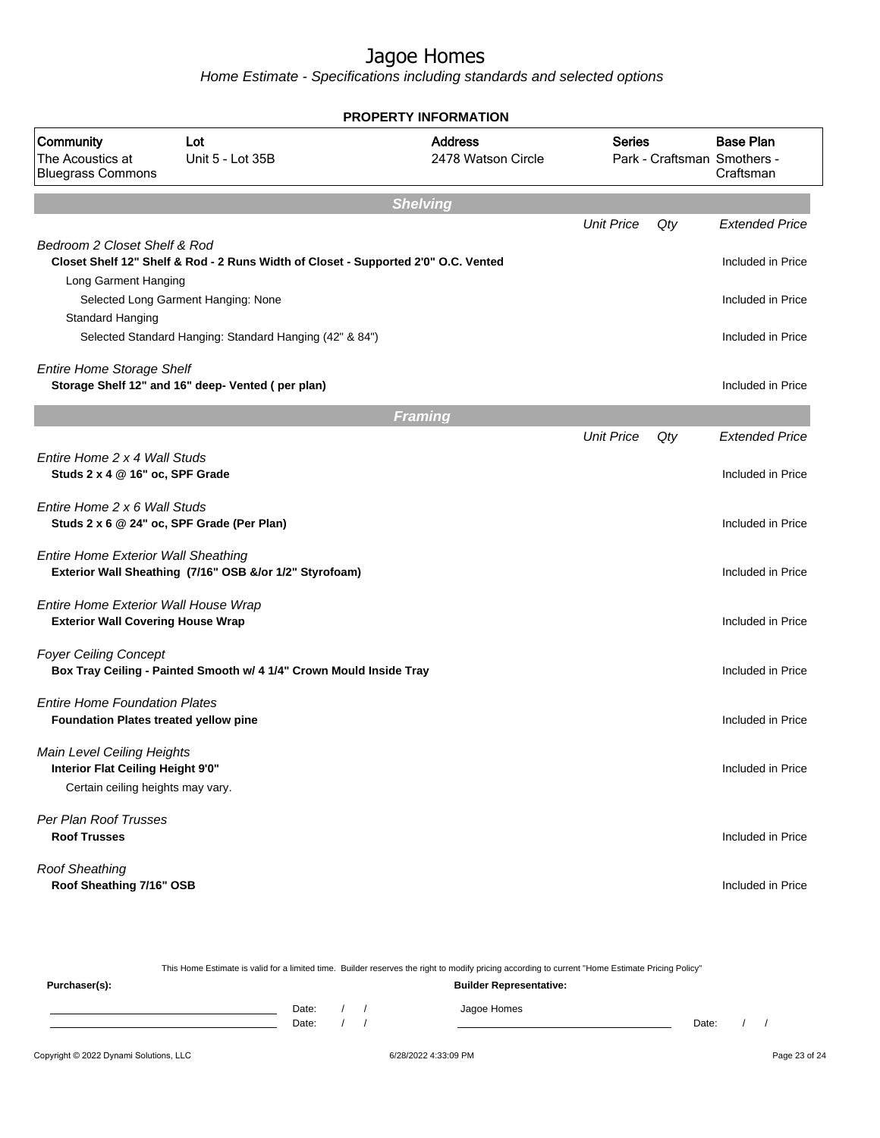|                                                                                                      |                                                                                    | <b>PROPERTY INFORMATION</b>          |                   |     |                                                              |
|------------------------------------------------------------------------------------------------------|------------------------------------------------------------------------------------|--------------------------------------|-------------------|-----|--------------------------------------------------------------|
| Community<br>The Acoustics at<br><b>Bluegrass Commons</b>                                            | Lot<br>Unit 5 - Lot 35B                                                            | <b>Address</b><br>2478 Watson Circle | <b>Series</b>     |     | <b>Base Plan</b><br>Park - Craftsman Smothers -<br>Craftsman |
|                                                                                                      |                                                                                    | <b>Shelving</b>                      |                   |     |                                                              |
|                                                                                                      |                                                                                    |                                      | <b>Unit Price</b> | Qty | <b>Extended Price</b>                                        |
| Bedroom 2 Closet Shelf & Rod                                                                         | Closet Shelf 12" Shelf & Rod - 2 Runs Width of Closet - Supported 2'0" O.C. Vented |                                      |                   |     | Included in Price                                            |
| Long Garment Hanging                                                                                 |                                                                                    |                                      |                   |     |                                                              |
|                                                                                                      | Selected Long Garment Hanging: None                                                |                                      |                   |     | Included in Price                                            |
| Standard Hanging                                                                                     |                                                                                    |                                      |                   |     |                                                              |
|                                                                                                      | Selected Standard Hanging: Standard Hanging (42" & 84")                            |                                      |                   |     | Included in Price                                            |
| <b>Entire Home Storage Shelf</b>                                                                     |                                                                                    |                                      |                   |     |                                                              |
|                                                                                                      | Storage Shelf 12" and 16" deep- Vented (per plan)                                  |                                      |                   |     | Included in Price                                            |
|                                                                                                      |                                                                                    | <b>Framing</b>                       |                   |     |                                                              |
|                                                                                                      |                                                                                    |                                      | <b>Unit Price</b> | Qty | <b>Extended Price</b>                                        |
| Entire Home 2 x 4 Wall Studs<br>Studs 2 x 4 @ 16" oc, SPF Grade                                      |                                                                                    |                                      |                   |     | Included in Price                                            |
| Entire Home 2 x 6 Wall Studs                                                                         | Studs 2 x 6 @ 24" oc, SPF Grade (Per Plan)                                         |                                      |                   |     | Included in Price                                            |
| <b>Entire Home Exterior Wall Sheathing</b>                                                           | Exterior Wall Sheathing (7/16" OSB &/or 1/2" Styrofoam)                            |                                      |                   |     | Included in Price                                            |
| Entire Home Exterior Wall House Wrap<br><b>Exterior Wall Covering House Wrap</b>                     |                                                                                    |                                      |                   |     | Included in Price                                            |
| <b>Foyer Ceiling Concept</b>                                                                         | Box Tray Ceiling - Painted Smooth w/ 4 1/4" Crown Mould Inside Tray                |                                      |                   |     | Included in Price                                            |
| <b>Entire Home Foundation Plates</b><br>Foundation Plates treated yellow pine                        |                                                                                    |                                      |                   |     | Included in Price                                            |
| Main Level Ceiling Heights<br>Interior Flat Ceiling Height 9'0"<br>Certain ceiling heights may vary. |                                                                                    |                                      |                   |     | Included in Price                                            |
| Per Plan Roof Trusses<br><b>Roof Trusses</b>                                                         |                                                                                    |                                      |                   |     | Included in Price                                            |
| <b>Roof Sheathing</b><br>Roof Sheathing 7/16" OSB                                                    |                                                                                    |                                      |                   |     | Included in Price                                            |

|               |       |  | This Home Estimate is valid for a limited time. Builder reserves the right to modify pricing according to current "Home Estimate Pricing Policy" |       |  |  |
|---------------|-------|--|--------------------------------------------------------------------------------------------------------------------------------------------------|-------|--|--|
| Purchaser(s): |       |  | <b>Builder Representative:</b>                                                                                                                   |       |  |  |
|               | Date: |  | Jagoe Homes                                                                                                                                      |       |  |  |
|               | Date: |  |                                                                                                                                                  | Date: |  |  |
|               |       |  |                                                                                                                                                  |       |  |  |